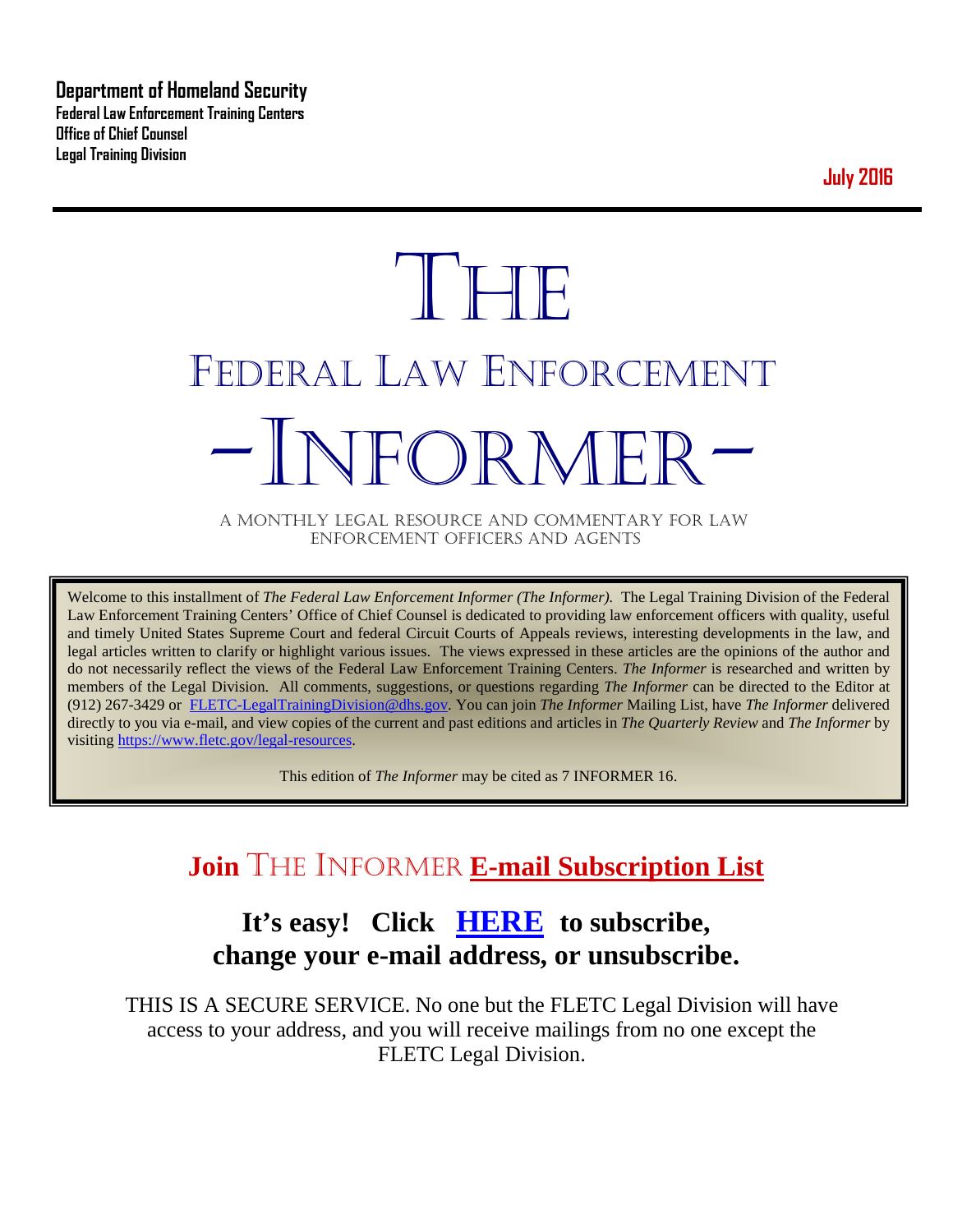**Department of Homeland Security Federal Law Enforcement Training Centers Office of Chief Counsel Legal Training Division** 

**July 2016**

# **THE** FEDERAL LAW ENFORCEMENT -INFORMER- A MONTHLY LEGAL RESOURCE AND COMMENTARY FOR LAW

ENFORCEMENT OFFICERS AND AGENTS

Welcome to this installment of *The Federal Law Enforcement Informer (The Informer).* The Legal Training Division of the Federal Law Enforcement Training Centers' Office of Chief Counsel is dedicated to providing law enforcement officers with quality, useful and timely United States Supreme Court and federal Circuit Courts of Appeals reviews, interesting developments in the law, and legal articles written to clarify or highlight various issues. The views expressed in these articles are the opinions of the author and do not necessarily reflect the views of the Federal Law Enforcement Training Centers. *The Informer* is researched and written by members of the Legal Division. All comments, suggestions, or questions regarding *The Informer* can be directed to the Editor at (912) 267-3429 or [FLETC-LegalTrainingDivision@dhs.gov.](mailto:FLETC-LegalTrainingDivision@dhs.gov) You can join *The Informer* Mailing List, have *The Informer* delivered directly to you via e-mail, and view copies of the current and past editions and articles in *The Quarterly Review* and *The Informer* by visiting [https://www.fletc.gov/legal-resources.](https://www.fletc.gov/legal-resources) 

This edition of *The Informer* may be cited as 7 INFORMER 16.

# **Join** THE INFORMER **E-mail Subscription List**

# **It's easy! Click [HERE](http://peach.ease.lsoft.com/scripts/wa.exe?SUBED1=fletclgd&A=1) to subscribe, change your e-mail address, or unsubscribe.**

THIS IS A SECURE SERVICE. No one but the FLETC Legal Division will have access to your address, and you will receive mailings from no one except the FLETC Legal Division.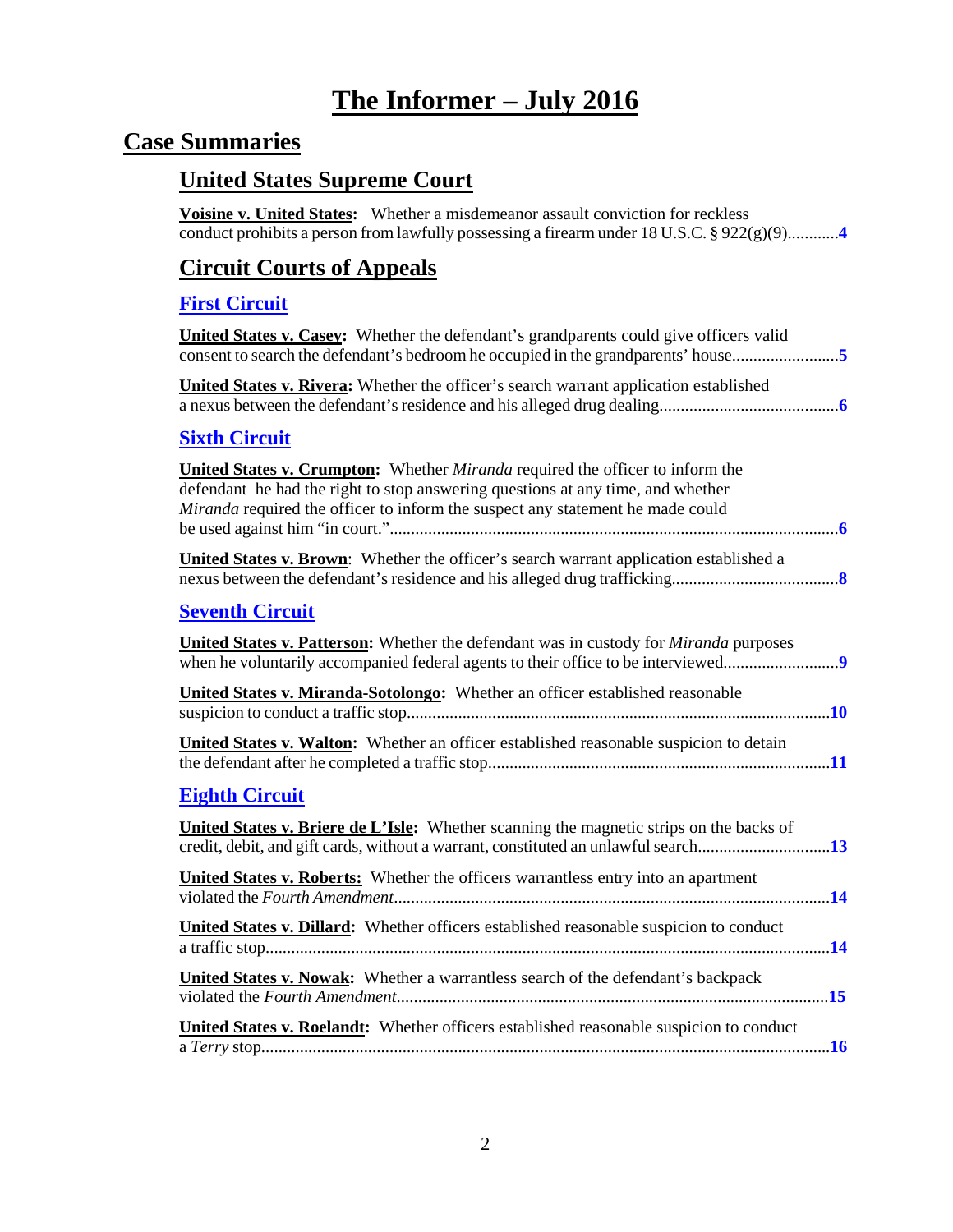# **The Informer – July 2016**

# **Case Summaries**

## **United States Supreme Court**

**Voisine v. United States:** Whether a misdemeanor assault conviction for reckless conduct prohibits a person from lawfully possessing a firearm under 18 U.S.C. § 922(g)(9)............**[4](#page-3-0)**

## **[Circuit Courts of Appeals](#page-3-1)**

# **[First Circuit](#page-4-0)**

| <b>First Circuit</b>                                                                                                                                                                                                                               |
|----------------------------------------------------------------------------------------------------------------------------------------------------------------------------------------------------------------------------------------------------|
| United States v. Casey: Whether the defendant's grandparents could give officers valid                                                                                                                                                             |
| United States v. Rivera: Whether the officer's search warrant application established                                                                                                                                                              |
| <b>Sixth Circuit</b>                                                                                                                                                                                                                               |
| United States v. Crumpton: Whether Miranda required the officer to inform the<br>defendant he had the right to stop answering questions at any time, and whether<br>Miranda required the officer to inform the suspect any statement he made could |
| <b>United States v. Brown:</b> Whether the officer's search warrant application established a                                                                                                                                                      |
| <b>Seventh Circuit</b>                                                                                                                                                                                                                             |
| <b>United States v. Patterson:</b> Whether the defendant was in custody for <i>Miranda</i> purposes<br>when he voluntarily accompanied federal agents to their office to be interviewed9                                                           |
| <b>United States v. Miranda-Sotolongo:</b> Whether an officer established reasonable                                                                                                                                                               |
| United States v. Walton: Whether an officer established reasonable suspicion to detain                                                                                                                                                             |
| <b>Eighth Circuit</b>                                                                                                                                                                                                                              |
| <b>United States v. Briere de L'Isle:</b> Whether scanning the magnetic strips on the backs of                                                                                                                                                     |
| <b>United States v. Roberts:</b> Whether the officers warrantless entry into an apartment                                                                                                                                                          |
| United States v. Dillard: Whether officers established reasonable suspicion to conduct                                                                                                                                                             |
| United States v. Nowak: Whether a warrantless search of the defendant's backpack                                                                                                                                                                   |
| United States v. Roelandt: Whether officers established reasonable suspicion to conduct                                                                                                                                                            |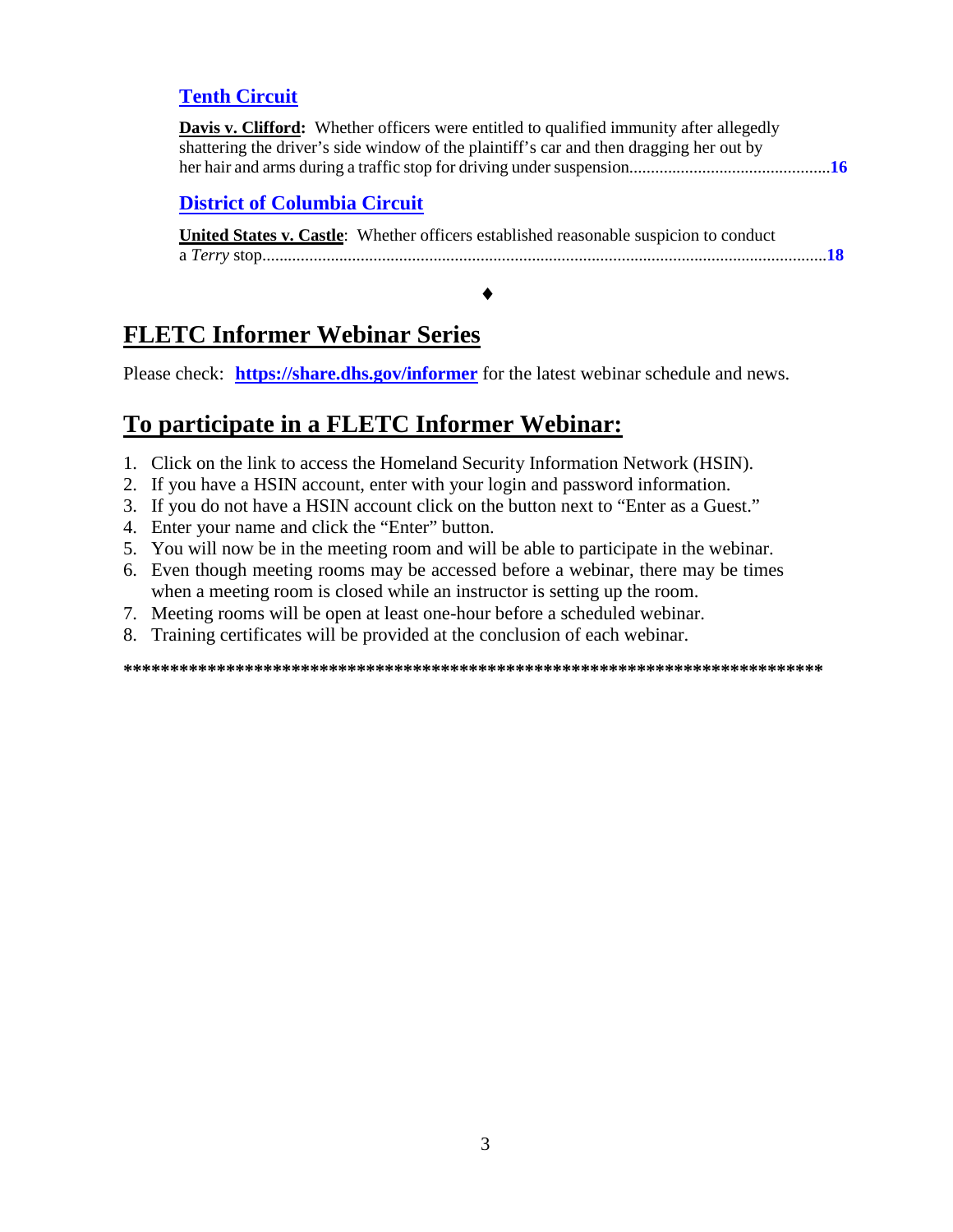## **[Tenth Circuit](#page-15-1)**

| Davis v. Clifford: Whether officers were entitled to qualified immunity after allegedly |  |
|-----------------------------------------------------------------------------------------|--|
| shattering the driver's side window of the plaintiff's car and then dragging her out by |  |
|                                                                                         |  |

#### **[District of Columbia Circuit](#page-17-0)**

| United States v. Castle: Whether officers established reasonable suspicion to conduct |
|---------------------------------------------------------------------------------------|
|                                                                                       |
|                                                                                       |

♦

# **FLETC Informer Webinar Series**

Please check: **<https://share.dhs.gov/informer>** for the latest webinar schedule and news.

# **To participate in a FLETC Informer Webinar:**

- 1. Click on the link to access the Homeland Security Information Network (HSIN).
- 2. If you have a HSIN account, enter with your login and password information.
- 3. If you do not have a HSIN account click on the button next to "Enter as a Guest."
- 4. Enter your name and click the "Enter" button.
- 5. You will now be in the meeting room and will be able to participate in the webinar.
- 6. Even though meeting rooms may be accessed before a webinar, there may be times when a meeting room is closed while an instructor is setting up the room.
- 7. Meeting rooms will be open at least one-hour before a scheduled webinar.
- 8. Training certificates will be provided at the conclusion of each webinar.

**\*\*\*\*\*\*\*\*\*\*\*\*\*\*\*\*\*\*\*\*\*\*\*\*\*\*\*\*\*\*\*\*\*\*\*\*\*\*\*\*\*\*\*\*\*\*\*\*\*\*\*\*\*\*\*\*\*\*\*\*\*\*\*\*\*\*\*\*\*\*\*\*\*\*\***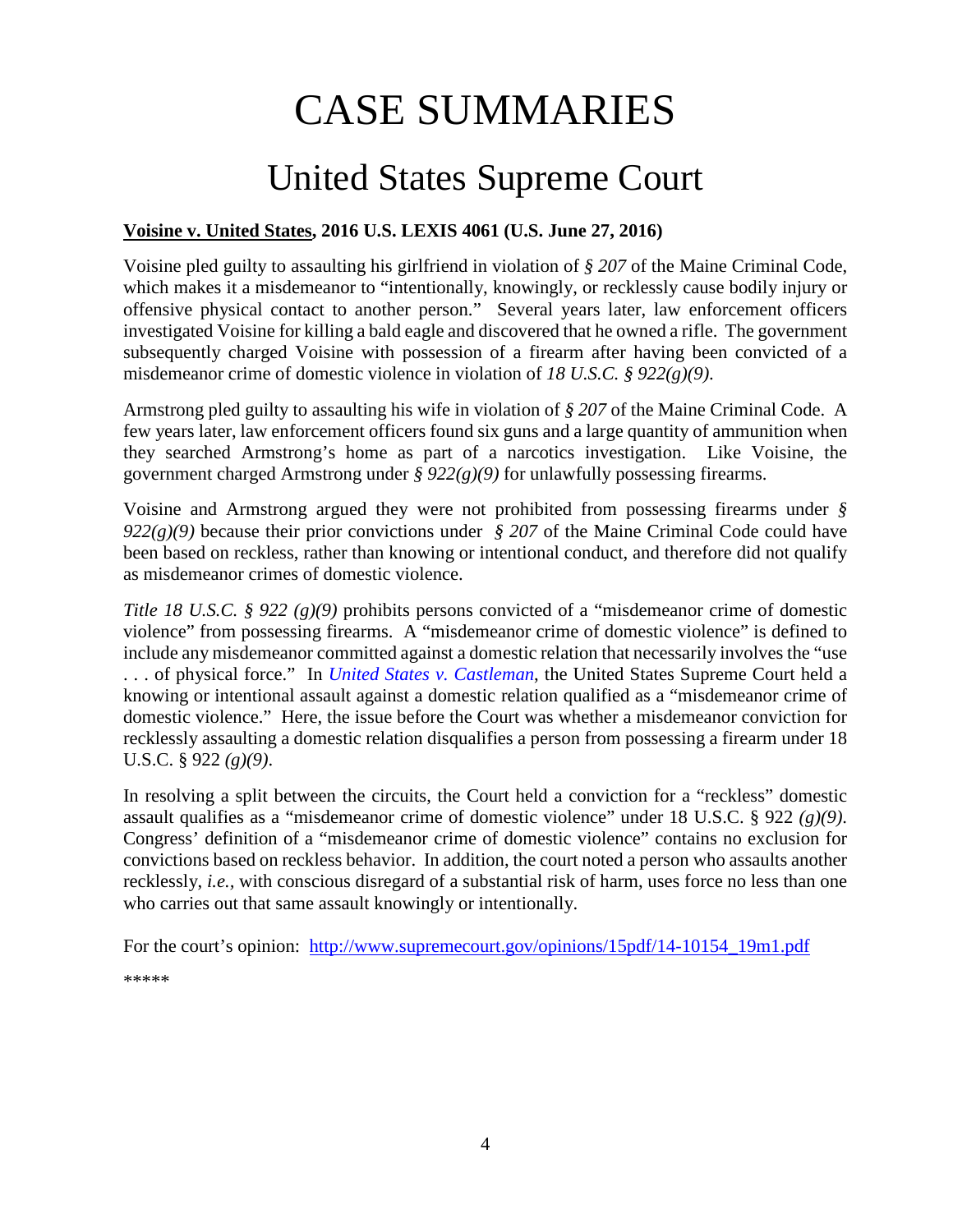# CASE SUMMARIES

# United States Supreme Court

## <span id="page-3-1"></span><span id="page-3-0"></span>**Voisine v. United States, 2016 U.S. LEXIS 4061 (U.S. June 27, 2016)**

Voisine pled guilty to assaulting his girlfriend in violation of *§ 207* of the Maine Criminal Code, which makes it a misdemeanor to "intentionally, knowingly, or recklessly cause bodily injury or offensive physical contact to another person." Several years later, law enforcement officers investigated Voisine for killing a bald eagle and discovered that he owned a rifle. The government subsequently charged Voisine with possession of a firearm after having been convicted of a misdemeanor crime of domestic violence in violation of *18 U.S.C. § 922(g)(9)*.

Armstrong pled guilty to assaulting his wife in violation of *§ 207* of the Maine Criminal Code. A few years later, law enforcement officers found six guns and a large quantity of ammunition when they searched Armstrong's home as part of a narcotics investigation. Like Voisine, the government charged Armstrong under *§ 922(g)(9)* for unlawfully possessing firearms.

Voisine and Armstrong argued they were not prohibited from possessing firearms under *§ 922(g)(9)* because their prior convictions under *§ 207* of the Maine Criminal Code could have been based on reckless, rather than knowing or intentional conduct, and therefore did not qualify as misdemeanor crimes of domestic violence.

*Title 18 U.S.C. § 922 (g)(9)* prohibits persons convicted of a "misdemeanor crime of domestic violence" from possessing firearms. A "misdemeanor crime of domestic violence" is defined to include any misdemeanor committed against a domestic relation that necessarily involves the "use . . . of physical force." In *[United States v. Castleman](http://www.supremecourt.gov/opinions/13pdf/12-1371_6b35.pdf)*, the United States Supreme Court held a knowing or intentional assault against a domestic relation qualified as a "misdemeanor crime of domestic violence." Here, the issue before the Court was whether a misdemeanor conviction for recklessly assaulting a domestic relation disqualifies a person from possessing a firearm under 18 U.S.C. § 922 *(g)(9)*.

In resolving a split between the circuits, the Court held a conviction for a "reckless" domestic assault qualifies as a "misdemeanor crime of domestic violence" under 18 U.S.C. § 922 *(g)(9)*. Congress' definition of a "misdemeanor crime of domestic violence" contains no exclusion for convictions based on reckless behavior. In addition, the court noted a person who assaults another recklessly, *i.e.,* with conscious disregard of a substantial risk of harm, uses force no less than one who carries out that same assault knowingly or intentionally.

For the court's opinion: [http://www.supremecourt.gov/opinions/15pdf/14-10154\\_19m1.pdf](http://www.supremecourt.gov/opinions/15pdf/14-10154_19m1.pdf)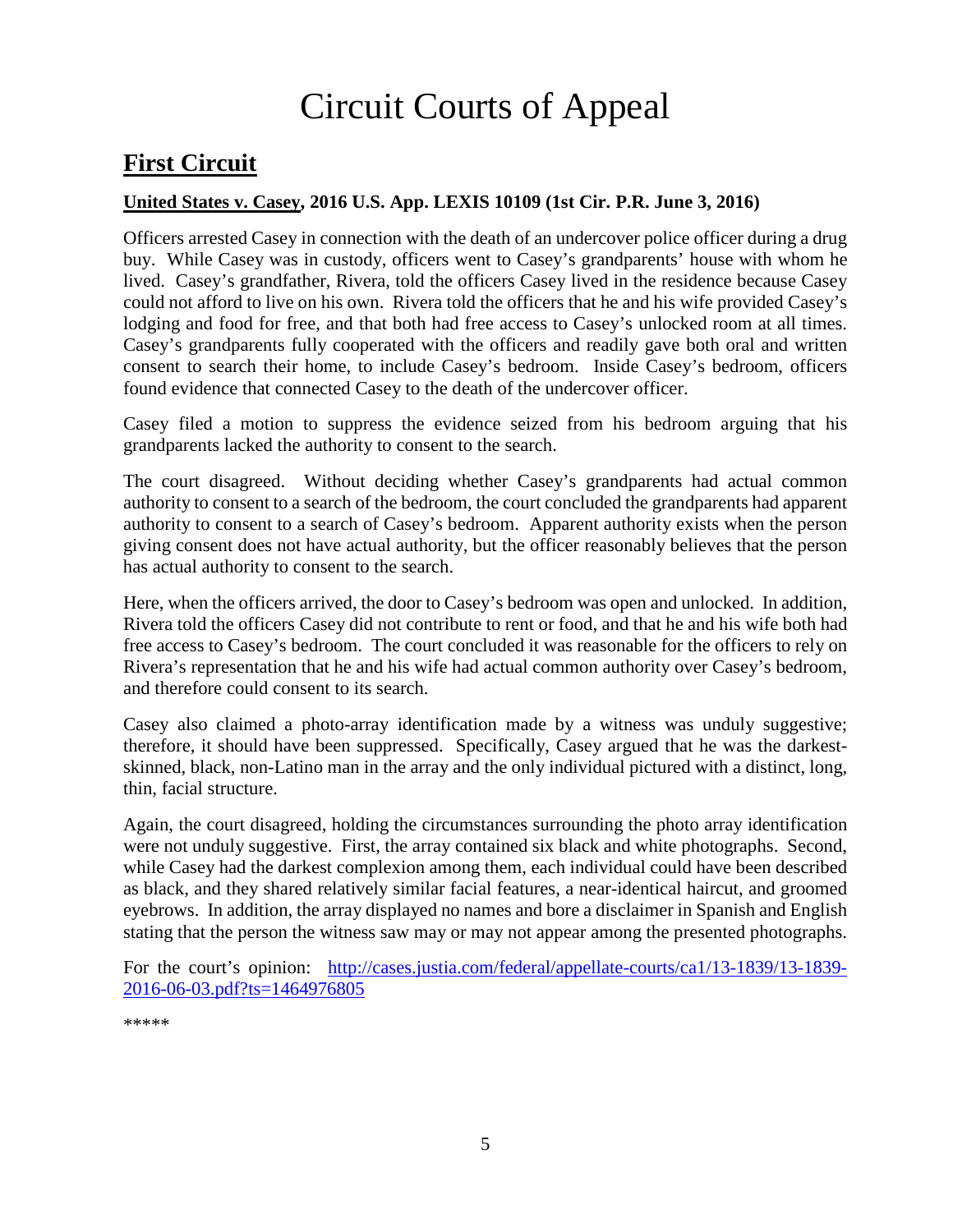# Circuit Courts of Appeal

# <span id="page-4-0"></span>**First Circuit**

#### <span id="page-4-1"></span>**United States v. Casey, 2016 U.S. App. LEXIS 10109 (1st Cir. P.R. June 3, 2016)**

Officers arrested Casey in connection with the death of an undercover police officer during a drug buy. While Casey was in custody, officers went to Casey's grandparents' house with whom he lived. Casey's grandfather, Rivera, told the officers Casey lived in the residence because Casey could not afford to live on his own. Rivera told the officers that he and his wife provided Casey's lodging and food for free, and that both had free access to Casey's unlocked room at all times. Casey's grandparents fully cooperated with the officers and readily gave both oral and written consent to search their home, to include Casey's bedroom. Inside Casey's bedroom, officers found evidence that connected Casey to the death of the undercover officer.

Casey filed a motion to suppress the evidence seized from his bedroom arguing that his grandparents lacked the authority to consent to the search.

The court disagreed. Without deciding whether Casey's grandparents had actual common authority to consent to a search of the bedroom, the court concluded the grandparents had apparent authority to consent to a search of Casey's bedroom. Apparent authority exists when the person giving consent does not have actual authority, but the officer reasonably believes that the person has actual authority to consent to the search.

Here, when the officers arrived, the door to Casey's bedroom was open and unlocked. In addition, Rivera told the officers Casey did not contribute to rent or food, and that he and his wife both had free access to Casey's bedroom. The court concluded it was reasonable for the officers to rely on Rivera's representation that he and his wife had actual common authority over Casey's bedroom, and therefore could consent to its search.

Casey also claimed a photo-array identification made by a witness was unduly suggestive; therefore, it should have been suppressed. Specifically, Casey argued that he was the darkestskinned, black, non-Latino man in the array and the only individual pictured with a distinct, long, thin, facial structure.

Again, the court disagreed, holding the circumstances surrounding the photo array identification were not unduly suggestive. First, the array contained six black and white photographs. Second, while Casey had the darkest complexion among them, each individual could have been described as black, and they shared relatively similar facial features, a near-identical haircut, and groomed eyebrows. In addition, the array displayed no names and bore a disclaimer in Spanish and English stating that the person the witness saw may or may not appear among the presented photographs.

For the court's opinion: [http://cases.justia.com/federal/appellate-courts/ca1/13-1839/13-1839-](http://cases.justia.com/federal/appellate-courts/ca1/13-1839/13-1839-2016-06-03.pdf?ts=1464976805) [2016-06-03.pdf?ts=1464976805](http://cases.justia.com/federal/appellate-courts/ca1/13-1839/13-1839-2016-06-03.pdf?ts=1464976805)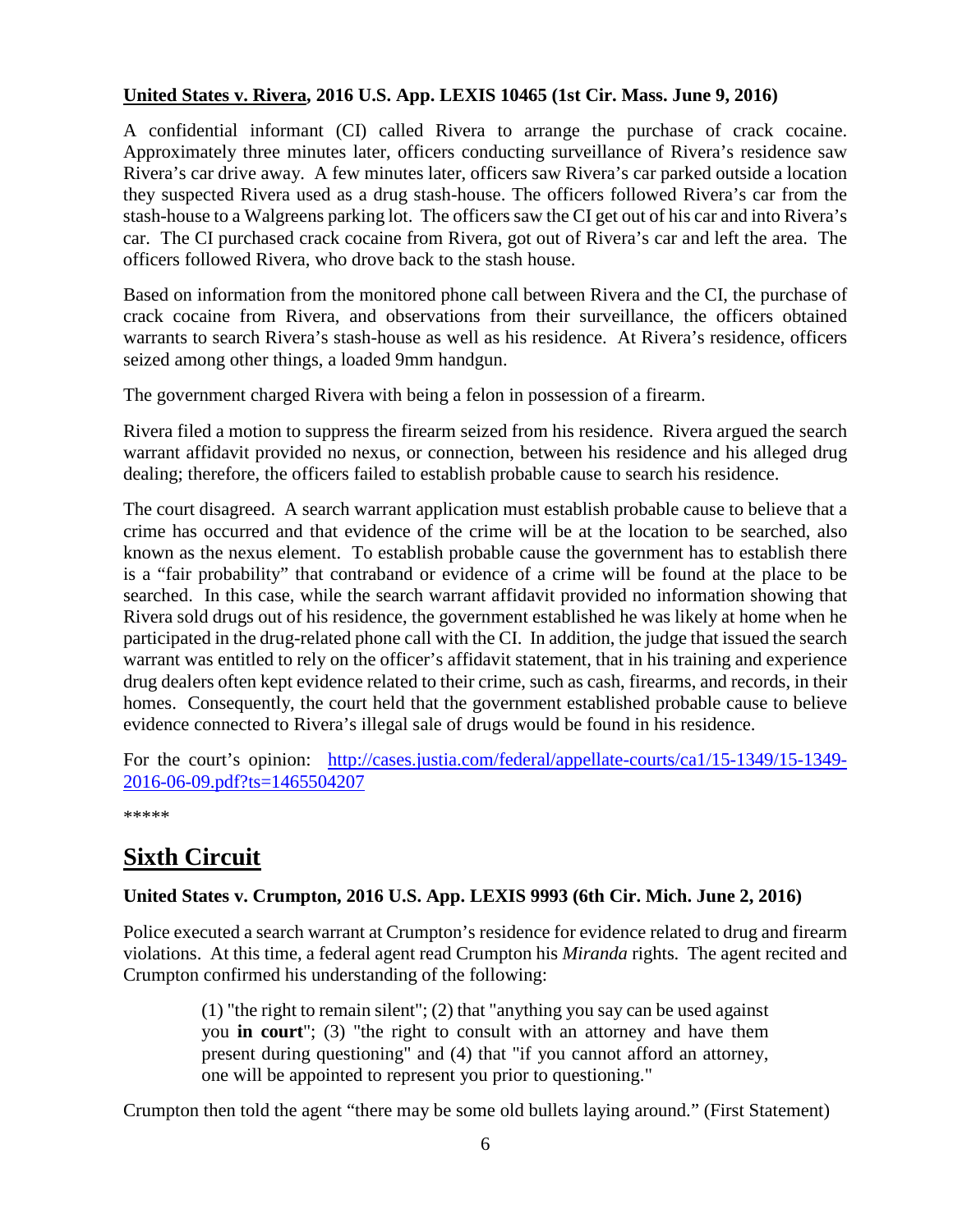#### <span id="page-5-0"></span>**United States v. Rivera, 2016 U.S. App. LEXIS 10465 (1st Cir. Mass. June 9, 2016)**

A confidential informant (CI) called Rivera to arrange the purchase of crack cocaine. Approximately three minutes later, officers conducting surveillance of Rivera's residence saw Rivera's car drive away. A few minutes later, officers saw Rivera's car parked outside a location they suspected Rivera used as a drug stash-house. The officers followed Rivera's car from the stash-house to a Walgreens parking lot. The officers saw the CI get out of his car and into Rivera's car. The CI purchased crack cocaine from Rivera, got out of Rivera's car and left the area. The officers followed Rivera, who drove back to the stash house.

Based on information from the monitored phone call between Rivera and the CI, the purchase of crack cocaine from Rivera, and observations from their surveillance, the officers obtained warrants to search Rivera's stash-house as well as his residence. At Rivera's residence, officers seized among other things, a loaded 9mm handgun.

The government charged Rivera with being a felon in possession of a firearm.

Rivera filed a motion to suppress the firearm seized from his residence. Rivera argued the search warrant affidavit provided no nexus, or connection, between his residence and his alleged drug dealing; therefore, the officers failed to establish probable cause to search his residence.

The court disagreed. A search warrant application must establish probable cause to believe that a crime has occurred and that evidence of the crime will be at the location to be searched, also known as the nexus element. To establish probable cause the government has to establish there is a "fair probability" that contraband or evidence of a crime will be found at the place to be searched. In this case, while the search warrant affidavit provided no information showing that Rivera sold drugs out of his residence, the government established he was likely at home when he participated in the drug-related phone call with the CI. In addition, the judge that issued the search warrant was entitled to rely on the officer's affidavit statement, that in his training and experience drug dealers often kept evidence related to their crime, such as cash, firearms, and records, in their homes. Consequently, the court held that the government established probable cause to believe evidence connected to Rivera's illegal sale of drugs would be found in his residence.

For the court's opinion: [http://cases.justia.com/federal/appellate-courts/ca1/15-1349/15-1349-](http://cases.justia.com/federal/appellate-courts/ca1/15-1349/15-1349-2016-06-09.pdf?ts=1465504207) [2016-06-09.pdf?ts=1465504207](http://cases.justia.com/federal/appellate-courts/ca1/15-1349/15-1349-2016-06-09.pdf?ts=1465504207)

\*\*\*\*\*

# <span id="page-5-1"></span>**Sixth Circuit**

#### <span id="page-5-2"></span>**United States v. Crumpton, 2016 U.S. App. LEXIS 9993 (6th Cir. Mich. June 2, 2016)**

Police executed a search warrant at Crumpton's residence for evidence related to drug and firearm violations. At this time, a federal agent read Crumpton his *Miranda* rights. The agent recited and Crumpton confirmed his understanding of the following:

> (1) "the right to remain silent"; (2) that "anything you say can be used against you **in court**"; (3) "the right to consult with an attorney and have them present during questioning" and (4) that "if you cannot afford an attorney, one will be appointed to represent you prior to questioning."

Crumpton then told the agent "there may be some old bullets laying around." (First Statement)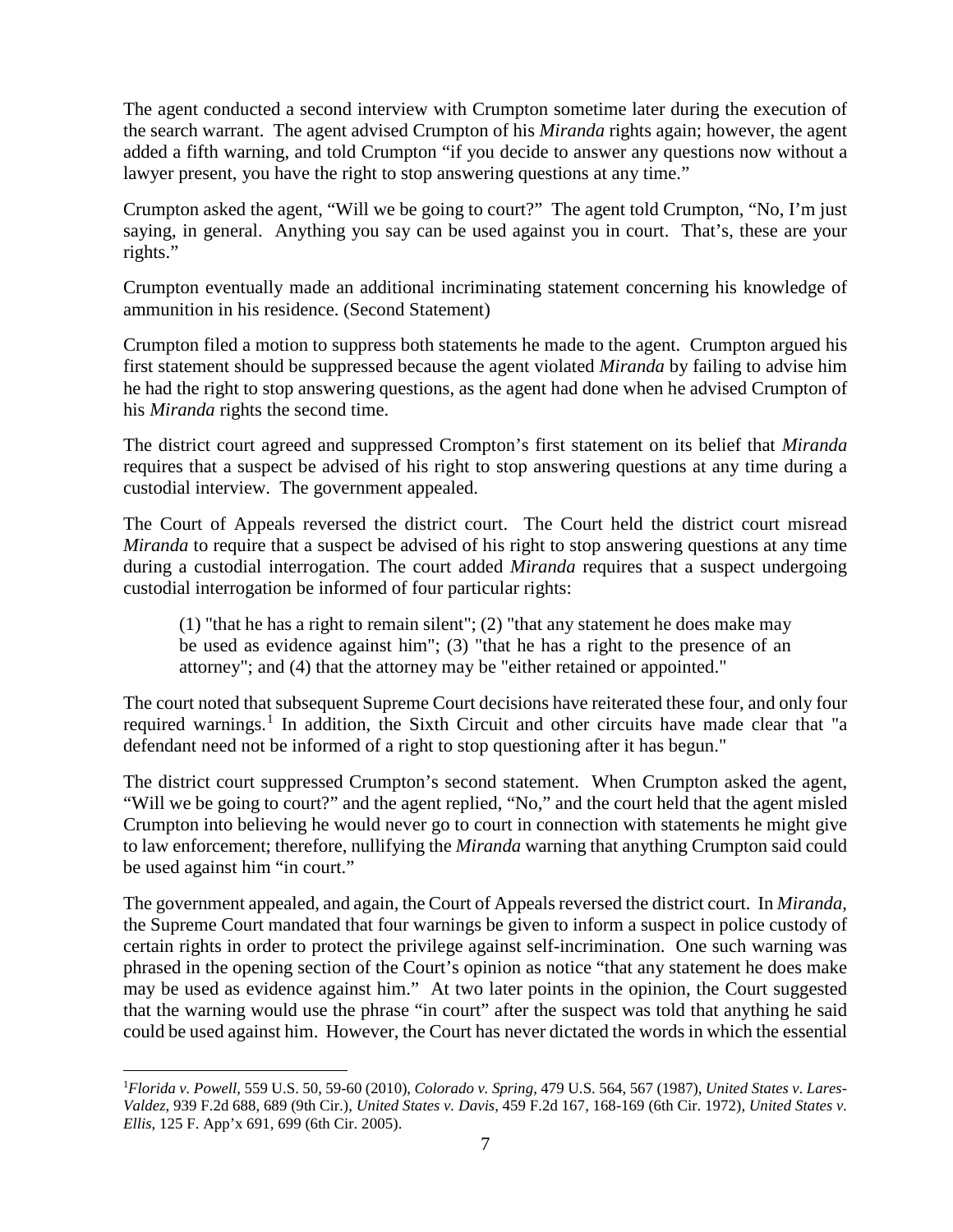The agent conducted a second interview with Crumpton sometime later during the execution of the search warrant. The agent advised Crumpton of his *Miranda* rights again; however, the agent added a fifth warning, and told Crumpton "if you decide to answer any questions now without a lawyer present, you have the right to stop answering questions at any time."

Crumpton asked the agent, "Will we be going to court?" The agent told Crumpton, "No, I'm just saying, in general. Anything you say can be used against you in court. That's, these are your rights."

Crumpton eventually made an additional incriminating statement concerning his knowledge of ammunition in his residence. (Second Statement)

Crumpton filed a motion to suppress both statements he made to the agent. Crumpton argued his first statement should be suppressed because the agent violated *Miranda* by failing to advise him he had the right to stop answering questions, as the agent had done when he advised Crumpton of his *Miranda* rights the second time.

The district court agreed and suppressed Crompton's first statement on its belief that *Miranda* requires that a suspect be advised of his right to stop answering questions at any time during a custodial interview. The government appealed.

The Court of Appeals reversed the district court. The Court held the district court misread *Miranda* to require that a suspect be advised of his right to stop answering questions at any time during a custodial interrogation. The court added *Miranda* requires that a suspect undergoing custodial interrogation be informed of four particular rights:

(1) "that he has a right to remain silent"; (2) "that any statement he does make may be used as evidence against him"; (3) "that he has a right to the presence of an attorney"; and (4) that the attorney may be "either retained or appointed."

The court noted that subsequent Supreme Court decisions have reiterated these four, and only four required warnings.<sup>[1](#page-6-0)</sup> In addition, the Sixth Circuit and other circuits have made clear that "a defendant need not be informed of a right to stop questioning after it has begun."

The district court suppressed Crumpton's second statement. When Crumpton asked the agent, "Will we be going to court?" and the agent replied, "No," and the court held that the agent misled Crumpton into believing he would never go to court in connection with statements he might give to law enforcement; therefore, nullifying the *Miranda* warning that anything Crumpton said could be used against him "in court."

The government appealed, and again, the Court of Appeals reversed the district court. In *Miranda*, the Supreme Court mandated that four warnings be given to inform a suspect in police custody of certain rights in order to protect the privilege against self-incrimination. One such warning was phrased in the opening section of the Court's opinion as notice "that any statement he does make may be used as evidence against him." At two later points in the opinion, the Court suggested that the warning would use the phrase "in court" after the suspect was told that anything he said could be used against him. However, the Court has never dictated the words in which the essential

<span id="page-6-0"></span> $\frac{1}{1}$ *Florida v. Powell*, 559 U.S. 50, 59-60 (2010), *Colorado v. Spring*, 479 U.S. 564, 567 (1987), *United States v*. *Lares-Valdez*, 939 F.2d 688, 689 (9th Cir.), *United States v. Davis*, 459 F.2d 167, 168-169 (6th Cir. 1972), *United States v. Ellis*, 125 F. App'x 691, 699 (6th Cir. 2005).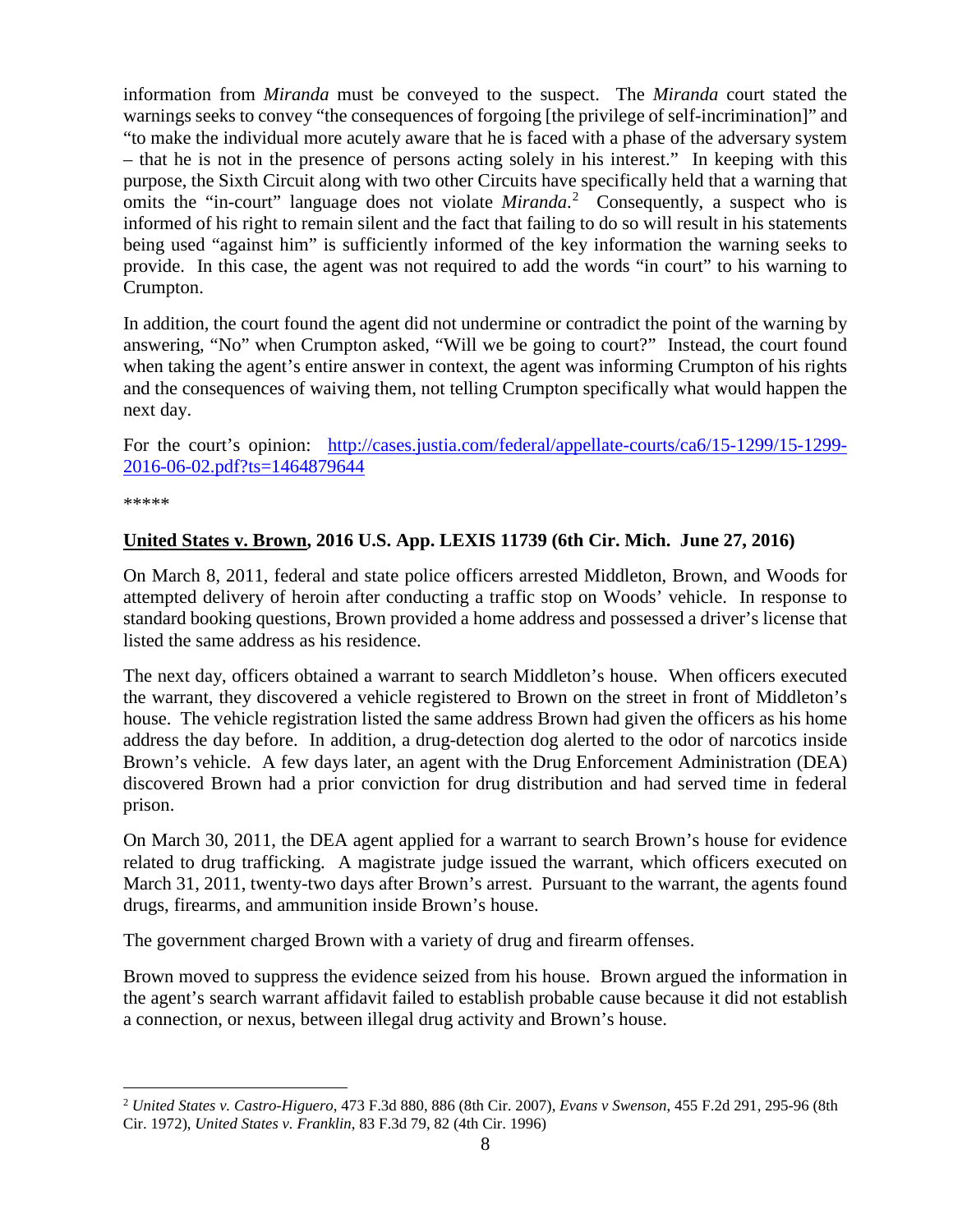information from *Miranda* must be conveyed to the suspect. The *Miranda* court stated the warnings seeks to convey "the consequences of forgoing [the privilege of self-incrimination]" and "to make the individual more acutely aware that he is faced with a phase of the adversary system – that he is not in the presence of persons acting solely in his interest." In keeping with this purpose, the Sixth Circuit along with two other Circuits have specifically held that a warning that omits the "in-court" language does not violate *Miranda*. [2](#page-7-1) Consequently, a suspect who is informed of his right to remain silent and the fact that failing to do so will result in his statements being used "against him" is sufficiently informed of the key information the warning seeks to provide. In this case, the agent was not required to add the words "in court" to his warning to Crumpton.

In addition, the court found the agent did not undermine or contradict the point of the warning by answering, "No" when Crumpton asked, "Will we be going to court?" Instead, the court found when taking the agent's entire answer in context, the agent was informing Crumpton of his rights and the consequences of waiving them, not telling Crumpton specifically what would happen the next day.

For the court's opinion: [http://cases.justia.com/federal/appellate-courts/ca6/15-1299/15-1299-](http://cases.justia.com/federal/appellate-courts/ca6/15-1299/15-1299-2016-06-02.pdf?ts=1464879644) [2016-06-02.pdf?ts=1464879644](http://cases.justia.com/federal/appellate-courts/ca6/15-1299/15-1299-2016-06-02.pdf?ts=1464879644)

\*\*\*\*\*

#### <span id="page-7-0"></span>**United States v. Brown, 2016 U.S. App. LEXIS 11739 (6th Cir. Mich. June 27, 2016)**

On March 8, 2011, federal and state police officers arrested Middleton, Brown, and Woods for attempted delivery of heroin after conducting a traffic stop on Woods' vehicle. In response to standard booking questions, Brown provided a home address and possessed a driver's license that listed the same address as his residence.

The next day, officers obtained a warrant to search Middleton's house. When officers executed the warrant, they discovered a vehicle registered to Brown on the street in front of Middleton's house. The vehicle registration listed the same address Brown had given the officers as his home address the day before. In addition, a drug-detection dog alerted to the odor of narcotics inside Brown's vehicle. A few days later, an agent with the Drug Enforcement Administration (DEA) discovered Brown had a prior conviction for drug distribution and had served time in federal prison.

On March 30, 2011, the DEA agent applied for a warrant to search Brown's house for evidence related to drug trafficking. A magistrate judge issued the warrant, which officers executed on March 31, 2011, twenty-two days after Brown's arrest. Pursuant to the warrant, the agents found drugs, firearms, and ammunition inside Brown's house.

The government charged Brown with a variety of drug and firearm offenses.

Brown moved to suppress the evidence seized from his house. Brown argued the information in the agent's search warrant affidavit failed to establish probable cause because it did not establish a connection, or nexus, between illegal drug activity and Brown's house.

<span id="page-7-1"></span> <sup>2</sup> *United States v. Castro-Higuero*, 473 F.3d 880, 886 (8th Cir. 2007), *Evans v Swenson*, 455 F.2d 291, 295-96 (8th Cir. 1972), *United States v. Franklin*, 83 F.3d 79, 82 (4th Cir. 1996)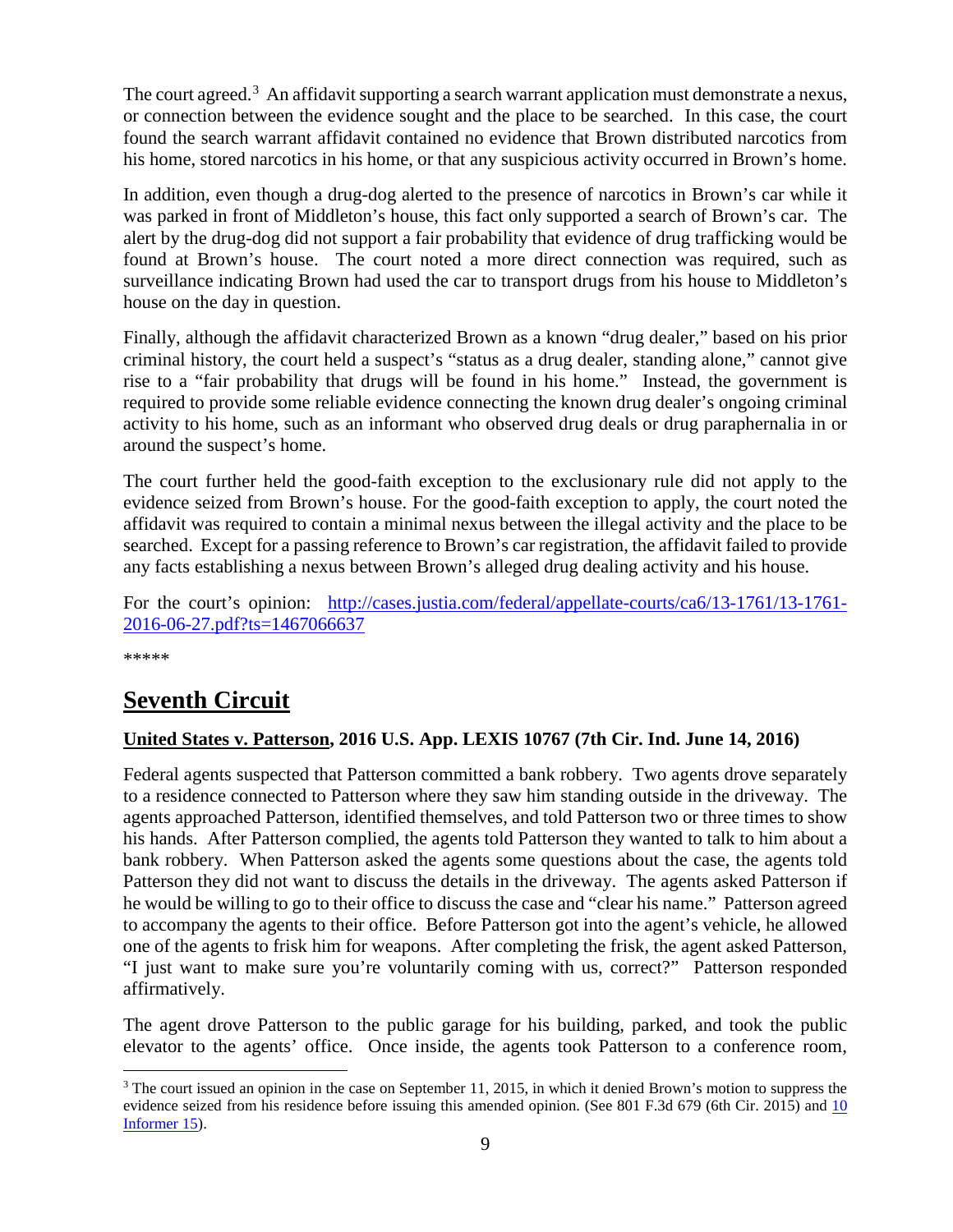The court agreed.<sup>[3](#page-8-2)</sup> An affidavit supporting a search warrant application must demonstrate a nexus, or connection between the evidence sought and the place to be searched. In this case, the court found the search warrant affidavit contained no evidence that Brown distributed narcotics from his home, stored narcotics in his home, or that any suspicious activity occurred in Brown's home.

In addition, even though a drug-dog alerted to the presence of narcotics in Brown's car while it was parked in front of Middleton's house, this fact only supported a search of Brown's car. The alert by the drug-dog did not support a fair probability that evidence of drug trafficking would be found at Brown's house. The court noted a more direct connection was required, such as surveillance indicating Brown had used the car to transport drugs from his house to Middleton's house on the day in question.

Finally, although the affidavit characterized Brown as a known "drug dealer," based on his prior criminal history, the court held a suspect's "status as a drug dealer, standing alone," cannot give rise to a "fair probability that drugs will be found in his home." Instead, the government is required to provide some reliable evidence connecting the known drug dealer's ongoing criminal activity to his home, such as an informant who observed drug deals or drug paraphernalia in or around the suspect's home.

The court further held the good-faith exception to the exclusionary rule did not apply to the evidence seized from Brown's house. For the good-faith exception to apply, the court noted the affidavit was required to contain a minimal nexus between the illegal activity and the place to be searched. Except for a passing reference to Brown's car registration, the affidavit failed to provide any facts establishing a nexus between Brown's alleged drug dealing activity and his house.

For the court's opinion: [http://cases.justia.com/federal/appellate-courts/ca6/13-1761/13-1761-](http://cases.justia.com/federal/appellate-courts/ca6/13-1761/13-1761-2016-06-27.pdf?ts=1467066637) [2016-06-27.pdf?ts=1467066637](http://cases.justia.com/federal/appellate-courts/ca6/13-1761/13-1761-2016-06-27.pdf?ts=1467066637)

\*\*\*\*\*

# <span id="page-8-0"></span>**Seventh Circuit**

#### <span id="page-8-1"></span>**United States v. Patterson, 2016 U.S. App. LEXIS 10767 (7th Cir. Ind. June 14, 2016)**

Federal agents suspected that Patterson committed a bank robbery. Two agents drove separately to a residence connected to Patterson where they saw him standing outside in the driveway. The agents approached Patterson, identified themselves, and told Patterson two or three times to show his hands. After Patterson complied, the agents told Patterson they wanted to talk to him about a bank robbery. When Patterson asked the agents some questions about the case, the agents told Patterson they did not want to discuss the details in the driveway. The agents asked Patterson if he would be willing to go to their office to discuss the case and "clear his name." Patterson agreed to accompany the agents to their office. Before Patterson got into the agent's vehicle, he allowed one of the agents to frisk him for weapons. After completing the frisk, the agent asked Patterson, "I just want to make sure you're voluntarily coming with us, correct?" Patterson responded affirmatively.

The agent drove Patterson to the public garage for his building, parked, and took the public elevator to the agents' office. Once inside, the agents took Patterson to a conference room,

<span id="page-8-2"></span> $3$  The court issued an opinion in the case on September 11, 2015, in which it denied Brown's motion to suppress the evidence seized from his residence before issuing this amended opinion. (See 801 F.3d 679 (6th Cir. 2015) and 10 [Informer 15\)](https://www.fletc.gov/sites/default/files/10Informer15.pdf).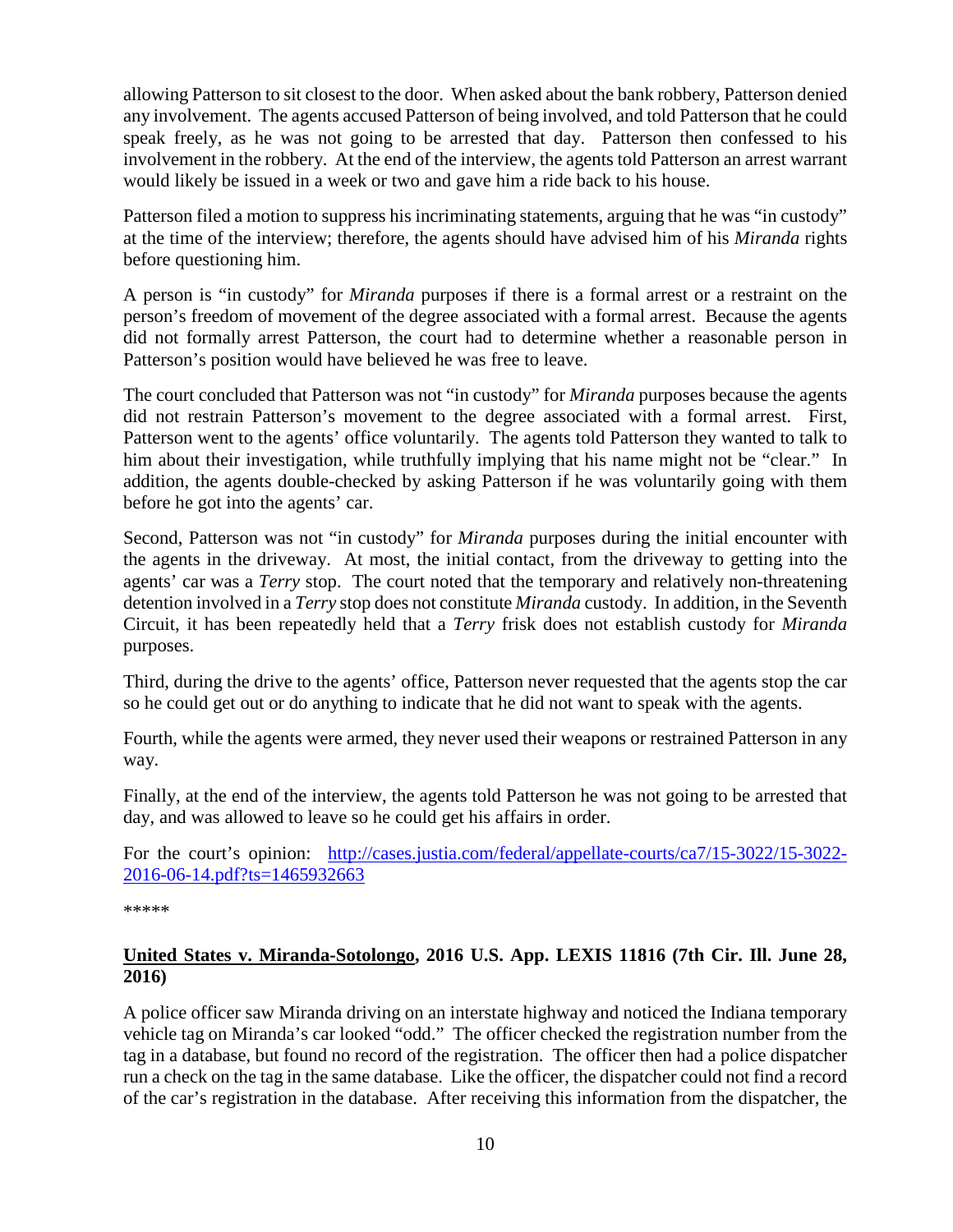allowing Patterson to sit closest to the door. When asked about the bank robbery, Patterson denied any involvement. The agents accused Patterson of being involved, and told Patterson that he could speak freely, as he was not going to be arrested that day. Patterson then confessed to his involvement in the robbery. At the end of the interview, the agents told Patterson an arrest warrant would likely be issued in a week or two and gave him a ride back to his house.

Patterson filed a motion to suppress his incriminating statements, arguing that he was "in custody" at the time of the interview; therefore, the agents should have advised him of his *Miranda* rights before questioning him.

A person is "in custody" for *Miranda* purposes if there is a formal arrest or a restraint on the person's freedom of movement of the degree associated with a formal arrest. Because the agents did not formally arrest Patterson, the court had to determine whether a reasonable person in Patterson's position would have believed he was free to leave.

The court concluded that Patterson was not "in custody" for *Miranda* purposes because the agents did not restrain Patterson's movement to the degree associated with a formal arrest. First, Patterson went to the agents' office voluntarily. The agents told Patterson they wanted to talk to him about their investigation, while truthfully implying that his name might not be "clear." In addition, the agents double-checked by asking Patterson if he was voluntarily going with them before he got into the agents' car.

Second, Patterson was not "in custody" for *Miranda* purposes during the initial encounter with the agents in the driveway. At most, the initial contact, from the driveway to getting into the agents' car was a *Terry* stop. The court noted that the temporary and relatively non-threatening detention involved in a *Terry* stop does not constitute *Miranda* custody. In addition, in the Seventh Circuit, it has been repeatedly held that a *Terry* frisk does not establish custody for *Miranda*  purposes.

Third, during the drive to the agents' office, Patterson never requested that the agents stop the car so he could get out or do anything to indicate that he did not want to speak with the agents.

Fourth, while the agents were armed, they never used their weapons or restrained Patterson in any way.

Finally, at the end of the interview, the agents told Patterson he was not going to be arrested that day, and was allowed to leave so he could get his affairs in order.

For the court's opinion: [http://cases.justia.com/federal/appellate-courts/ca7/15-3022/15-3022-](http://cases.justia.com/federal/appellate-courts/ca7/15-3022/15-3022-2016-06-14.pdf?ts=1465932663) [2016-06-14.pdf?ts=1465932663](http://cases.justia.com/federal/appellate-courts/ca7/15-3022/15-3022-2016-06-14.pdf?ts=1465932663)

\*\*\*\*\*

#### <span id="page-9-0"></span>**United States v. Miranda-Sotolongo, 2016 U.S. App. LEXIS 11816 (7th Cir. Ill. June 28, 2016)**

A police officer saw Miranda driving on an interstate highway and noticed the Indiana temporary vehicle tag on Miranda's car looked "odd." The officer checked the registration number from the tag in a database, but found no record of the registration. The officer then had a police dispatcher run a check on the tag in the same database. Like the officer, the dispatcher could not find a record of the car's registration in the database. After receiving this information from the dispatcher, the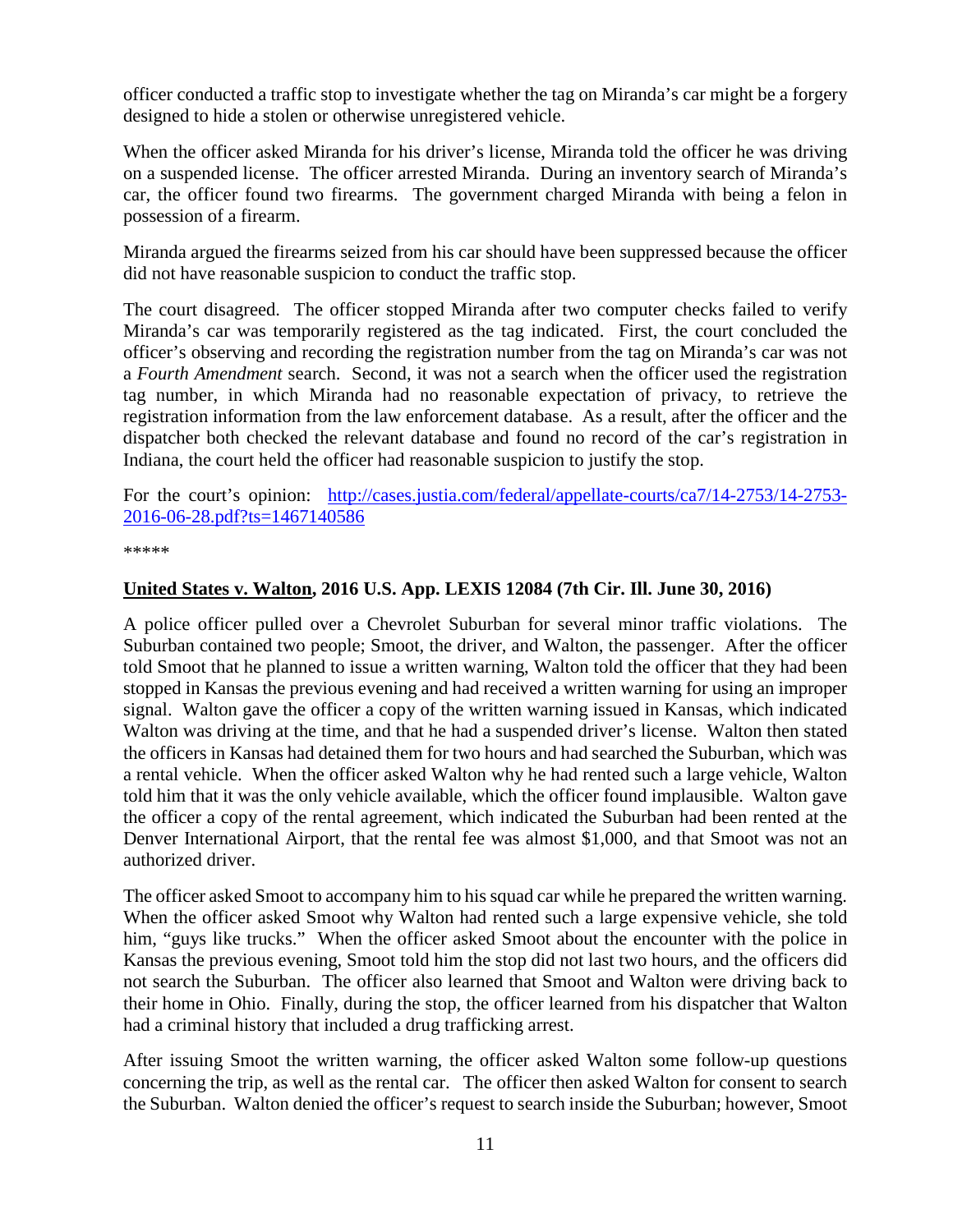officer conducted a traffic stop to investigate whether the tag on Miranda's car might be a forgery designed to hide a stolen or otherwise unregistered vehicle.

When the officer asked Miranda for his driver's license, Miranda told the officer he was driving on a suspended license. The officer arrested Miranda. During an inventory search of Miranda's car, the officer found two firearms. The government charged Miranda with being a felon in possession of a firearm.

Miranda argued the firearms seized from his car should have been suppressed because the officer did not have reasonable suspicion to conduct the traffic stop.

The court disagreed. The officer stopped Miranda after two computer checks failed to verify Miranda's car was temporarily registered as the tag indicated. First, the court concluded the officer's observing and recording the registration number from the tag on Miranda's car was not a *Fourth Amendment* search. Second, it was not a search when the officer used the registration tag number, in which Miranda had no reasonable expectation of privacy, to retrieve the registration information from the law enforcement database. As a result, after the officer and the dispatcher both checked the relevant database and found no record of the car's registration in Indiana, the court held the officer had reasonable suspicion to justify the stop.

For the court's opinion: [http://cases.justia.com/federal/appellate-courts/ca7/14-2753/14-2753-](http://cases.justia.com/federal/appellate-courts/ca7/14-2753/14-2753-2016-06-28.pdf?ts=1467140586) [2016-06-28.pdf?ts=1467140586](http://cases.justia.com/federal/appellate-courts/ca7/14-2753/14-2753-2016-06-28.pdf?ts=1467140586)

\*\*\*\*\*

#### <span id="page-10-0"></span>**United States v. Walton, 2016 U.S. App. LEXIS 12084 (7th Cir. Ill. June 30, 2016)**

A police officer pulled over a Chevrolet Suburban for several minor traffic violations. The Suburban contained two people; Smoot, the driver, and Walton, the passenger. After the officer told Smoot that he planned to issue a written warning, Walton told the officer that they had been stopped in Kansas the previous evening and had received a written warning for using an improper signal. Walton gave the officer a copy of the written warning issued in Kansas, which indicated Walton was driving at the time, and that he had a suspended driver's license. Walton then stated the officers in Kansas had detained them for two hours and had searched the Suburban, which was a rental vehicle. When the officer asked Walton why he had rented such a large vehicle, Walton told him that it was the only vehicle available, which the officer found implausible. Walton gave the officer a copy of the rental agreement, which indicated the Suburban had been rented at the Denver International Airport, that the rental fee was almost \$1,000, and that Smoot was not an authorized driver.

The officer asked Smoot to accompany him to his squad car while he prepared the written warning. When the officer asked Smoot why Walton had rented such a large expensive vehicle, she told him, "guys like trucks." When the officer asked Smoot about the encounter with the police in Kansas the previous evening, Smoot told him the stop did not last two hours, and the officers did not search the Suburban. The officer also learned that Smoot and Walton were driving back to their home in Ohio. Finally, during the stop, the officer learned from his dispatcher that Walton had a criminal history that included a drug trafficking arrest.

After issuing Smoot the written warning, the officer asked Walton some follow-up questions concerning the trip, as well as the rental car. The officer then asked Walton for consent to search the Suburban. Walton denied the officer's request to search inside the Suburban; however, Smoot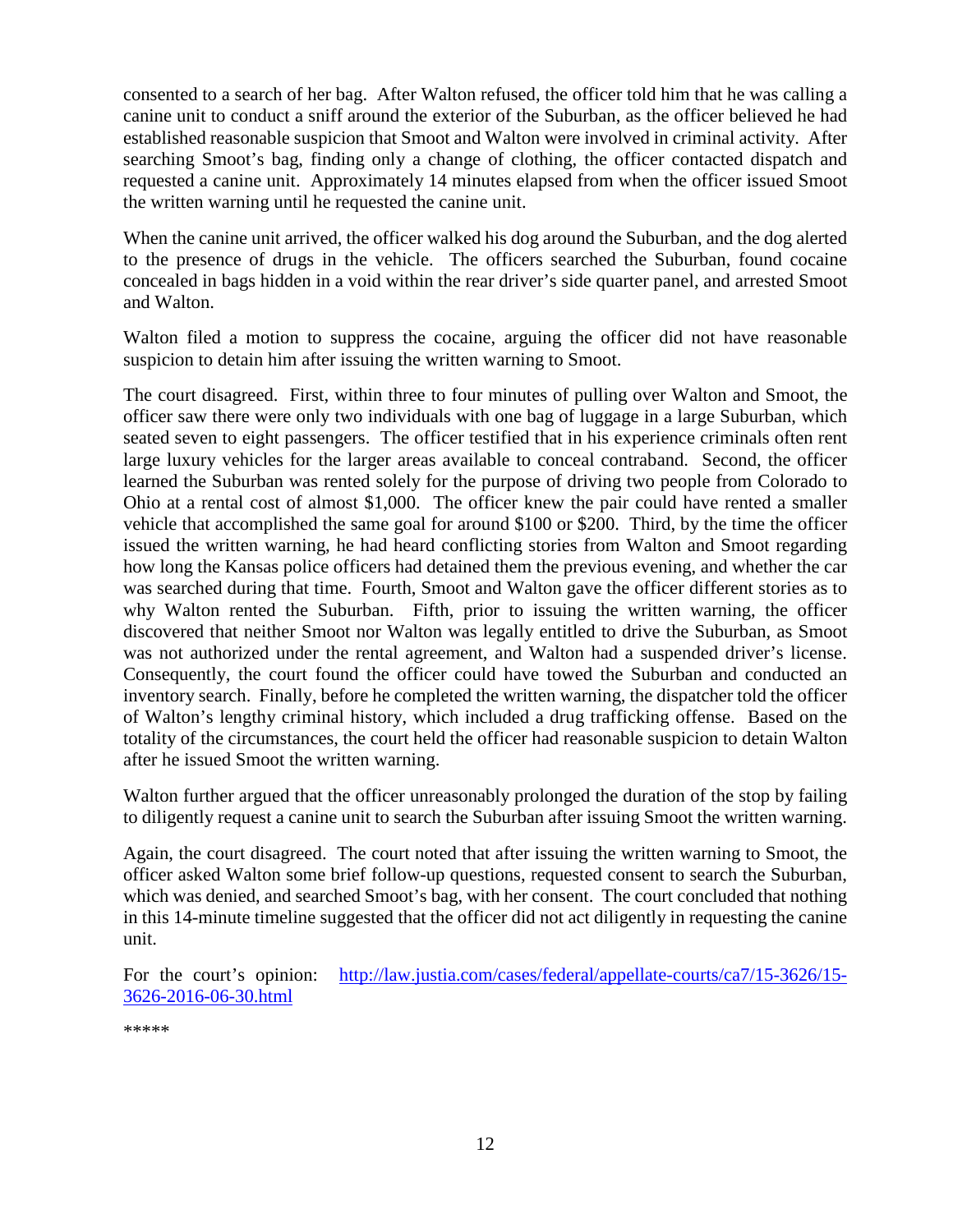consented to a search of her bag. After Walton refused, the officer told him that he was calling a canine unit to conduct a sniff around the exterior of the Suburban, as the officer believed he had established reasonable suspicion that Smoot and Walton were involved in criminal activity. After searching Smoot's bag, finding only a change of clothing, the officer contacted dispatch and requested a canine unit. Approximately 14 minutes elapsed from when the officer issued Smoot the written warning until he requested the canine unit.

When the canine unit arrived, the officer walked his dog around the Suburban, and the dog alerted to the presence of drugs in the vehicle. The officers searched the Suburban, found cocaine concealed in bags hidden in a void within the rear driver's side quarter panel, and arrested Smoot and Walton.

Walton filed a motion to suppress the cocaine, arguing the officer did not have reasonable suspicion to detain him after issuing the written warning to Smoot.

The court disagreed. First, within three to four minutes of pulling over Walton and Smoot, the officer saw there were only two individuals with one bag of luggage in a large Suburban, which seated seven to eight passengers. The officer testified that in his experience criminals often rent large luxury vehicles for the larger areas available to conceal contraband. Second, the officer learned the Suburban was rented solely for the purpose of driving two people from Colorado to Ohio at a rental cost of almost \$1,000. The officer knew the pair could have rented a smaller vehicle that accomplished the same goal for around \$100 or \$200. Third, by the time the officer issued the written warning, he had heard conflicting stories from Walton and Smoot regarding how long the Kansas police officers had detained them the previous evening, and whether the car was searched during that time. Fourth, Smoot and Walton gave the officer different stories as to why Walton rented the Suburban. Fifth, prior to issuing the written warning, the officer discovered that neither Smoot nor Walton was legally entitled to drive the Suburban, as Smoot was not authorized under the rental agreement, and Walton had a suspended driver's license. Consequently, the court found the officer could have towed the Suburban and conducted an inventory search. Finally, before he completed the written warning, the dispatcher told the officer of Walton's lengthy criminal history, which included a drug trafficking offense. Based on the totality of the circumstances, the court held the officer had reasonable suspicion to detain Walton after he issued Smoot the written warning.

Walton further argued that the officer unreasonably prolonged the duration of the stop by failing to diligently request a canine unit to search the Suburban after issuing Smoot the written warning.

Again, the court disagreed. The court noted that after issuing the written warning to Smoot, the officer asked Walton some brief follow-up questions, requested consent to search the Suburban, which was denied, and searched Smoot's bag, with her consent. The court concluded that nothing in this 14-minute timeline suggested that the officer did not act diligently in requesting the canine unit.

For the court's opinion: [http://law.justia.com/cases/federal/appellate-courts/ca7/15-3626/15-](http://law.justia.com/cases/federal/appellate-courts/ca7/15-3626/15-3626-2016-06-30.html) [3626-2016-06-30.html](http://law.justia.com/cases/federal/appellate-courts/ca7/15-3626/15-3626-2016-06-30.html)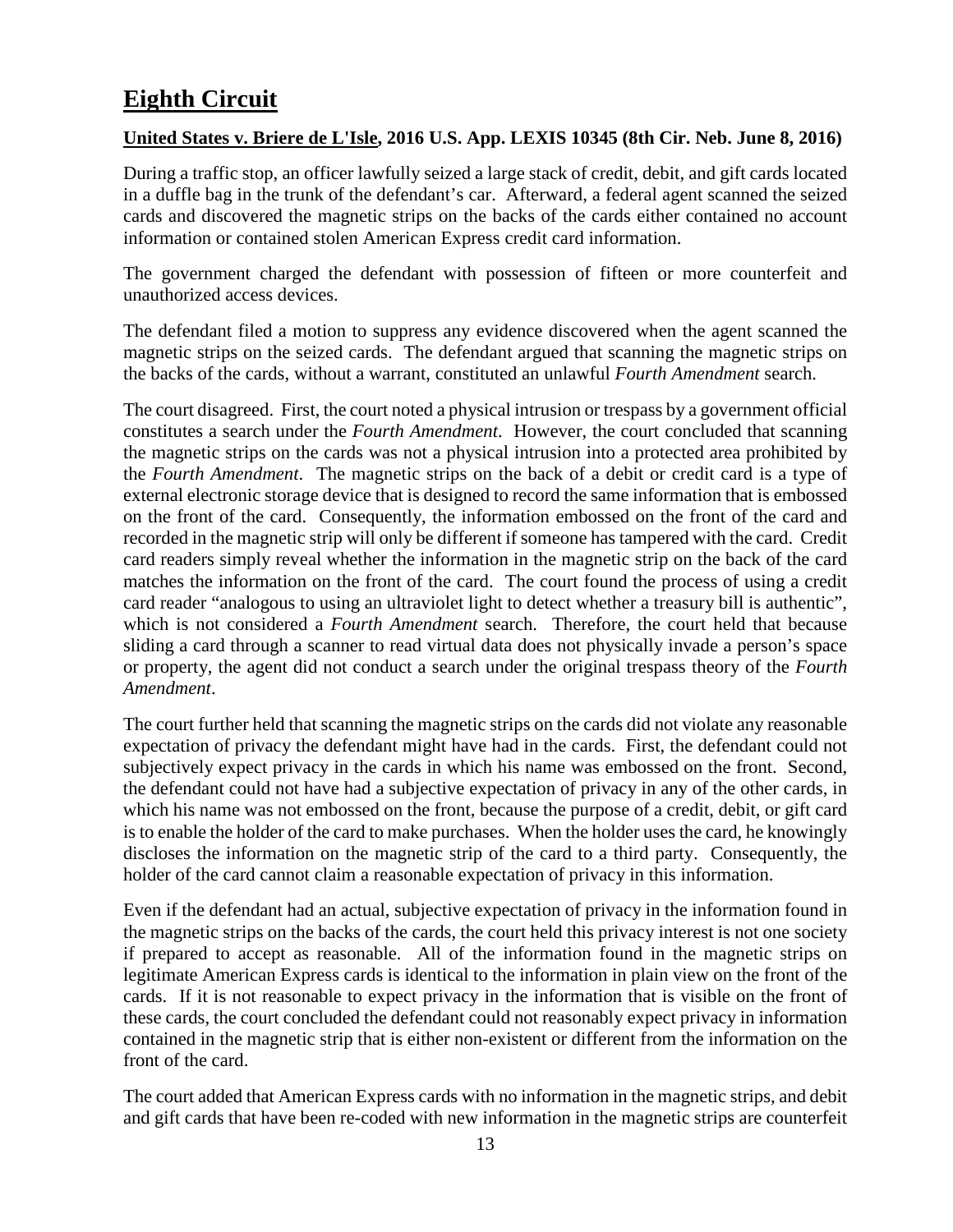# <span id="page-12-0"></span>**Eighth Circuit**

#### <span id="page-12-1"></span>**United States v. Briere de L'Isle, 2016 U.S. App. LEXIS 10345 (8th Cir. Neb. June 8, 2016)**

During a traffic stop, an officer lawfully seized a large stack of credit, debit, and gift cards located in a duffle bag in the trunk of the defendant's car. Afterward, a federal agent scanned the seized cards and discovered the magnetic strips on the backs of the cards either contained no account information or contained stolen American Express credit card information.

The government charged the defendant with possession of fifteen or more counterfeit and unauthorized access devices.

The defendant filed a motion to suppress any evidence discovered when the agent scanned the magnetic strips on the seized cards. The defendant argued that scanning the magnetic strips on the backs of the cards, without a warrant, constituted an unlawful *Fourth Amendment* search.

The court disagreed. First, the court noted a physical intrusion or trespass by a government official constitutes a search under the *Fourth Amendment*. However, the court concluded that scanning the magnetic strips on the cards was not a physical intrusion into a protected area prohibited by the *Fourth Amendment*. The magnetic strips on the back of a debit or credit card is a type of external electronic storage device that is designed to record the same information that is embossed on the front of the card. Consequently, the information embossed on the front of the card and recorded in the magnetic strip will only be different if someone has tampered with the card. Credit card readers simply reveal whether the information in the magnetic strip on the back of the card matches the information on the front of the card. The court found the process of using a credit card reader "analogous to using an ultraviolet light to detect whether a treasury bill is authentic", which is not considered a *Fourth Amendment* search. Therefore, the court held that because sliding a card through a scanner to read virtual data does not physically invade a person's space or property, the agent did not conduct a search under the original trespass theory of the *Fourth Amendment*.

The court further held that scanning the magnetic strips on the cards did not violate any reasonable expectation of privacy the defendant might have had in the cards. First, the defendant could not subjectively expect privacy in the cards in which his name was embossed on the front. Second, the defendant could not have had a subjective expectation of privacy in any of the other cards, in which his name was not embossed on the front, because the purpose of a credit, debit, or gift card is to enable the holder of the card to make purchases. When the holder uses the card, he knowingly discloses the information on the magnetic strip of the card to a third party. Consequently, the holder of the card cannot claim a reasonable expectation of privacy in this information.

Even if the defendant had an actual, subjective expectation of privacy in the information found in the magnetic strips on the backs of the cards, the court held this privacy interest is not one society if prepared to accept as reasonable. All of the information found in the magnetic strips on legitimate American Express cards is identical to the information in plain view on the front of the cards. If it is not reasonable to expect privacy in the information that is visible on the front of these cards, the court concluded the defendant could not reasonably expect privacy in information contained in the magnetic strip that is either non-existent or different from the information on the front of the card.

The court added that American Express cards with no information in the magnetic strips, and debit and gift cards that have been re-coded with new information in the magnetic strips are counterfeit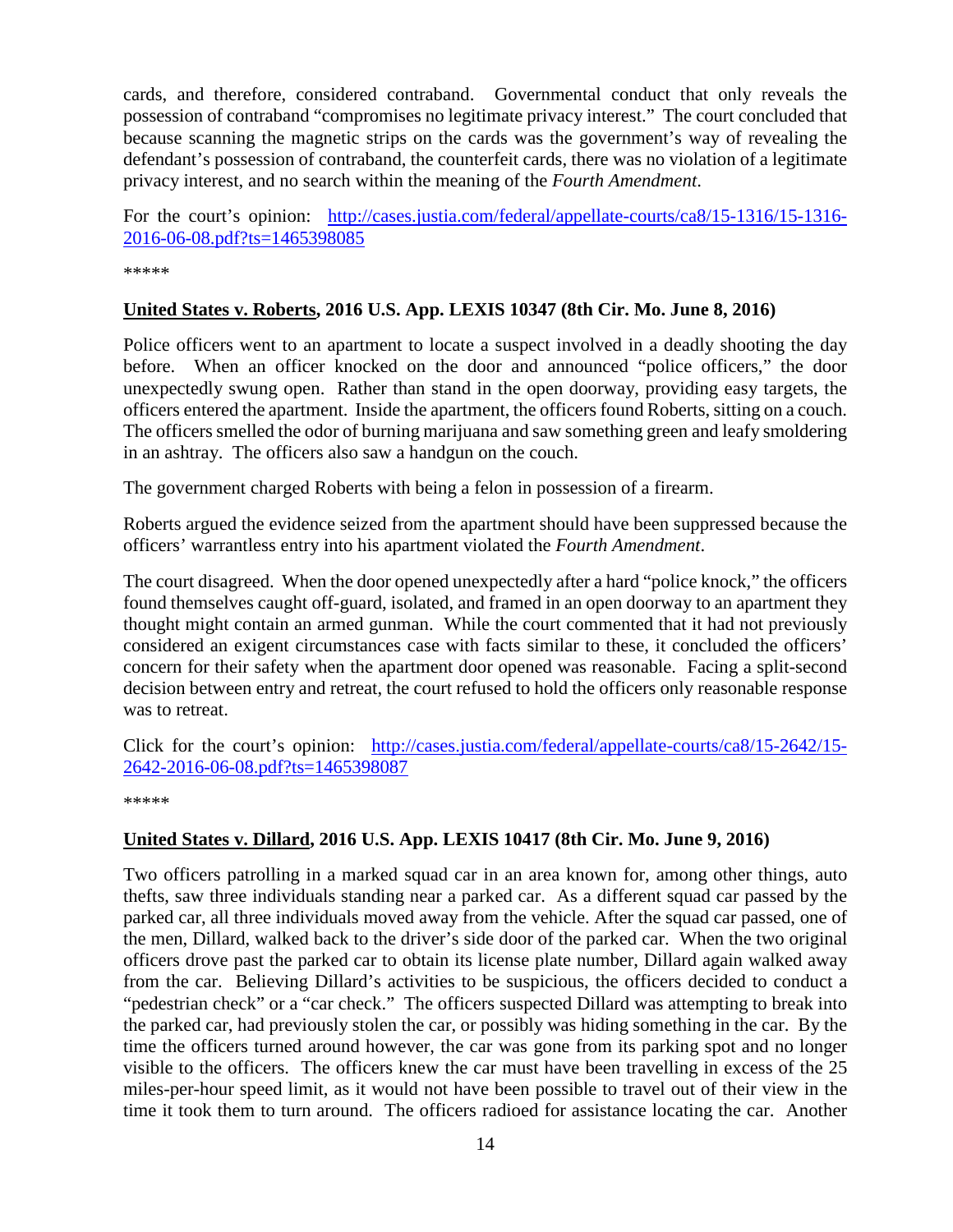cards, and therefore, considered contraband. Governmental conduct that only reveals the possession of contraband "compromises no legitimate privacy interest." The court concluded that because scanning the magnetic strips on the cards was the government's way of revealing the defendant's possession of contraband, the counterfeit cards, there was no violation of a legitimate privacy interest, and no search within the meaning of the *Fourth Amendment*.

For the court's opinion: [http://cases.justia.com/federal/appellate-courts/ca8/15-1316/15-1316-](http://cases.justia.com/federal/appellate-courts/ca8/15-1316/15-1316-2016-06-08.pdf?ts=1465398085) [2016-06-08.pdf?ts=1465398085](http://cases.justia.com/federal/appellate-courts/ca8/15-1316/15-1316-2016-06-08.pdf?ts=1465398085)

\*\*\*\*\*

#### <span id="page-13-0"></span>**United States v. Roberts, 2016 U.S. App. LEXIS 10347 (8th Cir. Mo. June 8, 2016)**

Police officers went to an apartment to locate a suspect involved in a deadly shooting the day before. When an officer knocked on the door and announced "police officers," the door unexpectedly swung open. Rather than stand in the open doorway, providing easy targets, the officers entered the apartment. Inside the apartment, the officers found Roberts, sitting on a couch. The officers smelled the odor of burning marijuana and saw something green and leafy smoldering in an ashtray. The officers also saw a handgun on the couch.

The government charged Roberts with being a felon in possession of a firearm.

Roberts argued the evidence seized from the apartment should have been suppressed because the officers' warrantless entry into his apartment violated the *Fourth Amendment*.

The court disagreed. When the door opened unexpectedly after a hard "police knock," the officers found themselves caught off-guard, isolated, and framed in an open doorway to an apartment they thought might contain an armed gunman. While the court commented that it had not previously considered an exigent circumstances case with facts similar to these, it concluded the officers' concern for their safety when the apartment door opened was reasonable. Facing a split-second decision between entry and retreat, the court refused to hold the officers only reasonable response was to retreat.

Click for the court's opinion: [http://cases.justia.com/federal/appellate-courts/ca8/15-2642/15-](http://cases.justia.com/federal/appellate-courts/ca8/15-2642/15-2642-2016-06-08.pdf?ts=1465398087) [2642-2016-06-08.pdf?ts=1465398087](http://cases.justia.com/federal/appellate-courts/ca8/15-2642/15-2642-2016-06-08.pdf?ts=1465398087)

\*\*\*\*\*

#### <span id="page-13-1"></span>**United States v. Dillard, 2016 U.S. App. LEXIS 10417 (8th Cir. Mo. June 9, 2016)**

Two officers patrolling in a marked squad car in an area known for, among other things, auto thefts, saw three individuals standing near a parked car. As a different squad car passed by the parked car, all three individuals moved away from the vehicle. After the squad car passed, one of the men, Dillard, walked back to the driver's side door of the parked car. When the two original officers drove past the parked car to obtain its license plate number, Dillard again walked away from the car. Believing Dillard's activities to be suspicious, the officers decided to conduct a "pedestrian check" or a "car check." The officers suspected Dillard was attempting to break into the parked car, had previously stolen the car, or possibly was hiding something in the car. By the time the officers turned around however, the car was gone from its parking spot and no longer visible to the officers. The officers knew the car must have been travelling in excess of the 25 miles-per-hour speed limit, as it would not have been possible to travel out of their view in the time it took them to turn around. The officers radioed for assistance locating the car. Another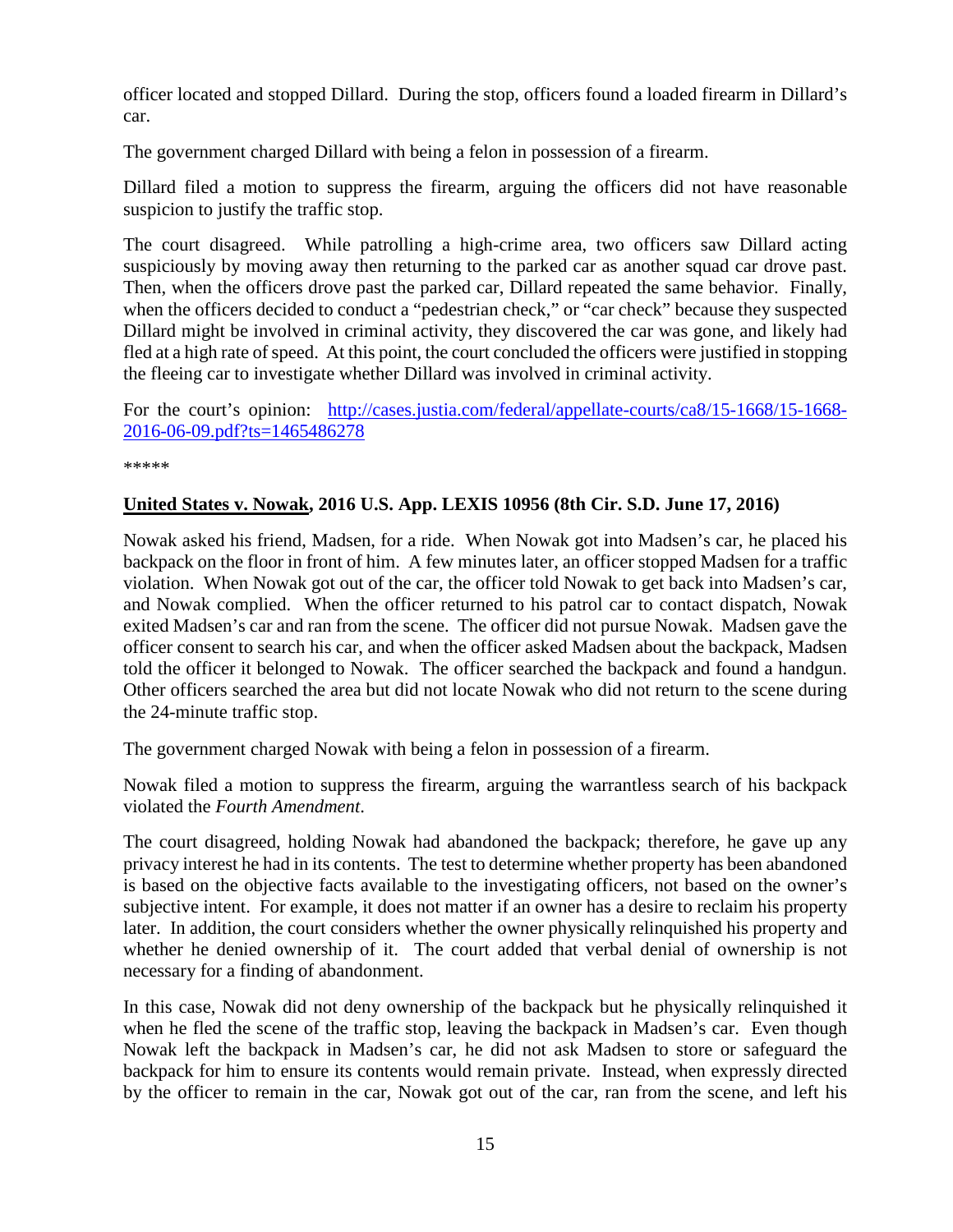officer located and stopped Dillard. During the stop, officers found a loaded firearm in Dillard's car.

The government charged Dillard with being a felon in possession of a firearm.

Dillard filed a motion to suppress the firearm, arguing the officers did not have reasonable suspicion to justify the traffic stop.

The court disagreed. While patrolling a high-crime area, two officers saw Dillard acting suspiciously by moving away then returning to the parked car as another squad car drove past. Then, when the officers drove past the parked car, Dillard repeated the same behavior. Finally, when the officers decided to conduct a "pedestrian check," or "car check" because they suspected Dillard might be involved in criminal activity, they discovered the car was gone, and likely had fled at a high rate of speed. At this point, the court concluded the officers were justified in stopping the fleeing car to investigate whether Dillard was involved in criminal activity.

For the court's opinion: [http://cases.justia.com/federal/appellate-courts/ca8/15-1668/15-1668-](http://cases.justia.com/federal/appellate-courts/ca8/15-1668/15-1668-2016-06-09.pdf?ts=1465486278) [2016-06-09.pdf?ts=1465486278](http://cases.justia.com/federal/appellate-courts/ca8/15-1668/15-1668-2016-06-09.pdf?ts=1465486278)

\*\*\*\*\*

#### <span id="page-14-0"></span>**United States v. Nowak, 2016 U.S. App. LEXIS 10956 (8th Cir. S.D. June 17, 2016)**

Nowak asked his friend, Madsen, for a ride. When Nowak got into Madsen's car, he placed his backpack on the floor in front of him. A few minutes later, an officer stopped Madsen for a traffic violation. When Nowak got out of the car, the officer told Nowak to get back into Madsen's car, and Nowak complied. When the officer returned to his patrol car to contact dispatch, Nowak exited Madsen's car and ran from the scene. The officer did not pursue Nowak. Madsen gave the officer consent to search his car, and when the officer asked Madsen about the backpack, Madsen told the officer it belonged to Nowak. The officer searched the backpack and found a handgun. Other officers searched the area but did not locate Nowak who did not return to the scene during the 24-minute traffic stop.

The government charged Nowak with being a felon in possession of a firearm.

Nowak filed a motion to suppress the firearm, arguing the warrantless search of his backpack violated the *Fourth Amendment*.

The court disagreed, holding Nowak had abandoned the backpack; therefore, he gave up any privacy interest he had in its contents. The test to determine whether property has been abandoned is based on the objective facts available to the investigating officers, not based on the owner's subjective intent. For example, it does not matter if an owner has a desire to reclaim his property later. In addition, the court considers whether the owner physically relinquished his property and whether he denied ownership of it. The court added that verbal denial of ownership is not necessary for a finding of abandonment.

In this case, Nowak did not deny ownership of the backpack but he physically relinquished it when he fled the scene of the traffic stop, leaving the backpack in Madsen's car. Even though Nowak left the backpack in Madsen's car, he did not ask Madsen to store or safeguard the backpack for him to ensure its contents would remain private. Instead, when expressly directed by the officer to remain in the car, Nowak got out of the car, ran from the scene, and left his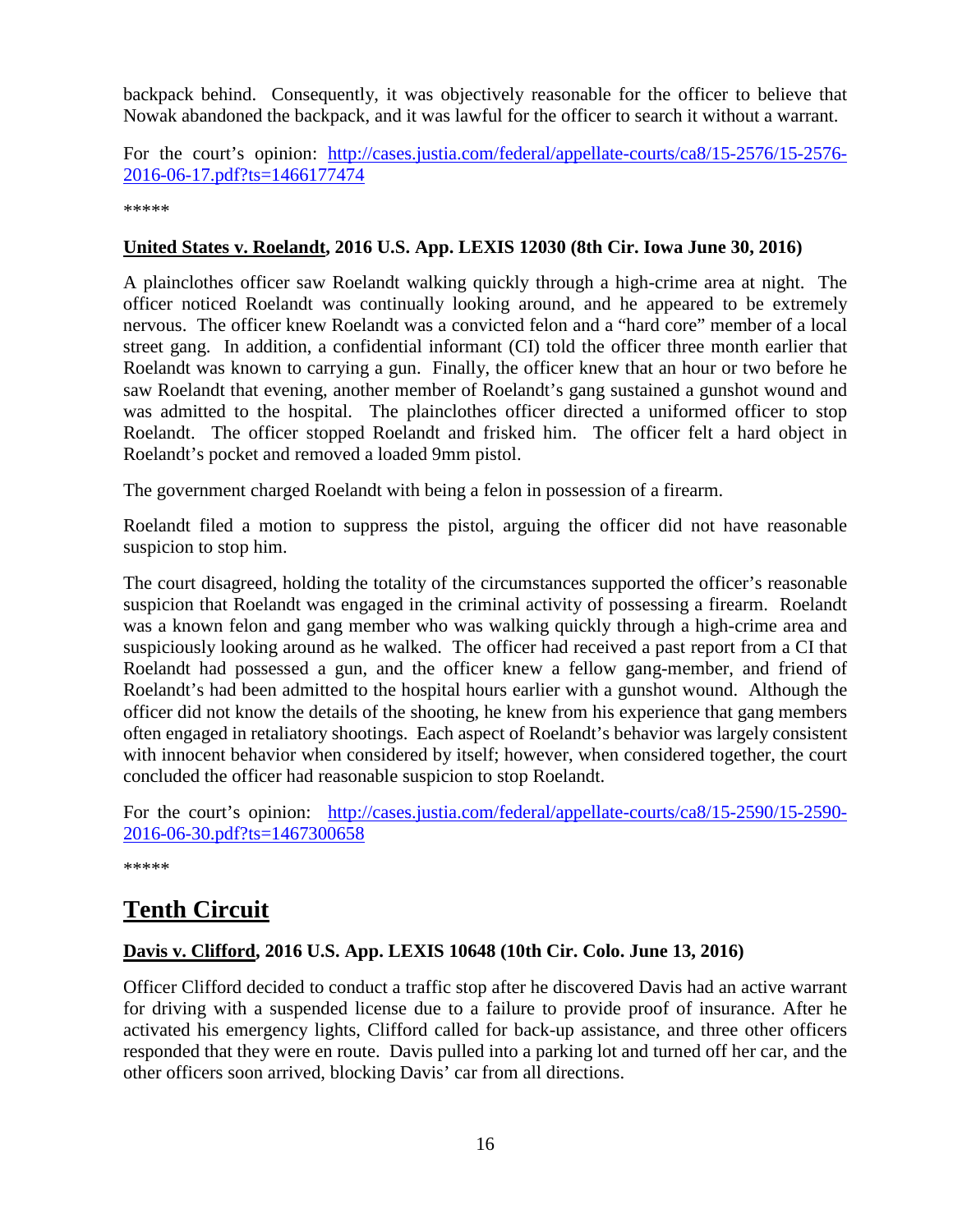backpack behind. Consequently, it was objectively reasonable for the officer to believe that Nowak abandoned the backpack, and it was lawful for the officer to search it without a warrant.

For the court's opinion: [http://cases.justia.com/federal/appellate-courts/ca8/15-2576/15-2576-](http://cases.justia.com/federal/appellate-courts/ca8/15-2576/15-2576-2016-06-17.pdf?ts=1466177474) [2016-06-17.pdf?ts=1466177474](http://cases.justia.com/federal/appellate-courts/ca8/15-2576/15-2576-2016-06-17.pdf?ts=1466177474)

\*\*\*\*\*

## <span id="page-15-0"></span>**United States v. Roelandt, 2016 U.S. App. LEXIS 12030 (8th Cir. Iowa June 30, 2016)**

A plainclothes officer saw Roelandt walking quickly through a high-crime area at night. The officer noticed Roelandt was continually looking around, and he appeared to be extremely nervous. The officer knew Roelandt was a convicted felon and a "hard core" member of a local street gang. In addition, a confidential informant (CI) told the officer three month earlier that Roelandt was known to carrying a gun. Finally, the officer knew that an hour or two before he saw Roelandt that evening, another member of Roelandt's gang sustained a gunshot wound and was admitted to the hospital. The plainclothes officer directed a uniformed officer to stop Roelandt. The officer stopped Roelandt and frisked him. The officer felt a hard object in Roelandt's pocket and removed a loaded 9mm pistol.

The government charged Roelandt with being a felon in possession of a firearm.

Roelandt filed a motion to suppress the pistol, arguing the officer did not have reasonable suspicion to stop him.

The court disagreed, holding the totality of the circumstances supported the officer's reasonable suspicion that Roelandt was engaged in the criminal activity of possessing a firearm. Roelandt was a known felon and gang member who was walking quickly through a high-crime area and suspiciously looking around as he walked. The officer had received a past report from a CI that Roelandt had possessed a gun, and the officer knew a fellow gang-member, and friend of Roelandt's had been admitted to the hospital hours earlier with a gunshot wound. Although the officer did not know the details of the shooting, he knew from his experience that gang members often engaged in retaliatory shootings. Each aspect of Roelandt's behavior was largely consistent with innocent behavior when considered by itself; however, when considered together, the court concluded the officer had reasonable suspicion to stop Roelandt.

For the court's opinion: [http://cases.justia.com/federal/appellate-courts/ca8/15-2590/15-2590-](http://cases.justia.com/federal/appellate-courts/ca8/15-2590/15-2590-2016-06-30.pdf?ts=1467300658) [2016-06-30.pdf?ts=1467300658](http://cases.justia.com/federal/appellate-courts/ca8/15-2590/15-2590-2016-06-30.pdf?ts=1467300658)

\*\*\*\*\*

# <span id="page-15-1"></span>**Tenth Circuit**

#### <span id="page-15-2"></span>**Davis v. Clifford, 2016 U.S. App. LEXIS 10648 (10th Cir. Colo. June 13, 2016)**

Officer Clifford decided to conduct a traffic stop after he discovered Davis had an active warrant for driving with a suspended license due to a failure to provide proof of insurance. After he activated his emergency lights, Clifford called for back-up assistance, and three other officers responded that they were en route. Davis pulled into a parking lot and turned off her car, and the other officers soon arrived, blocking Davis' car from all directions.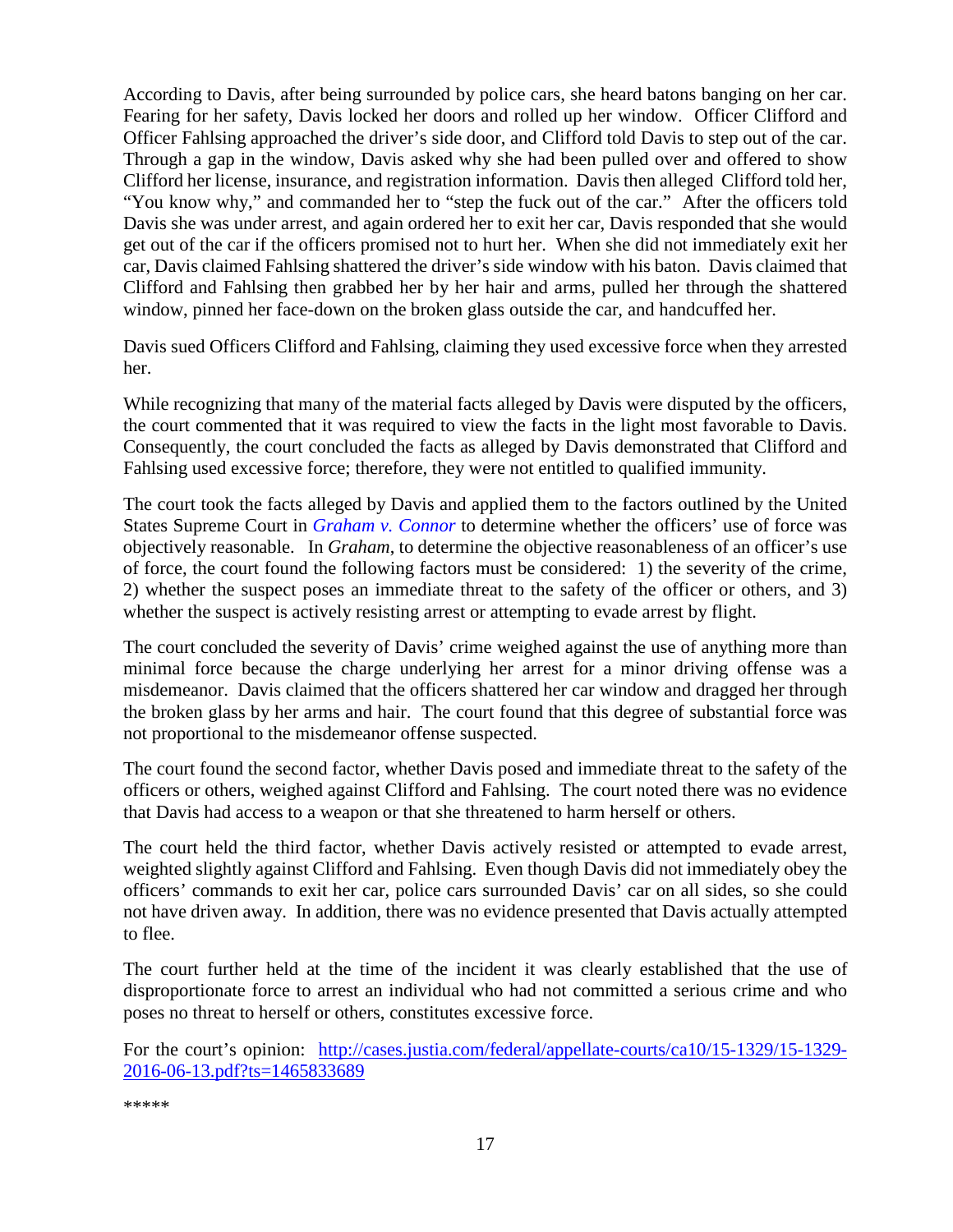According to Davis, after being surrounded by police cars, she heard batons banging on her car. Fearing for her safety, Davis locked her doors and rolled up her window. Officer Clifford and Officer Fahlsing approached the driver's side door, and Clifford told Davis to step out of the car. Through a gap in the window, Davis asked why she had been pulled over and offered to show Clifford her license, insurance, and registration information. Davis then alleged Clifford told her, "You know why," and commanded her to "step the fuck out of the car." After the officers told Davis she was under arrest, and again ordered her to exit her car, Davis responded that she would get out of the car if the officers promised not to hurt her. When she did not immediately exit her car, Davis claimed Fahlsing shattered the driver's side window with his baton. Davis claimed that Clifford and Fahlsing then grabbed her by her hair and arms, pulled her through the shattered window, pinned her face-down on the broken glass outside the car, and handcuffed her.

Davis sued Officers Clifford and Fahlsing, claiming they used excessive force when they arrested her.

While recognizing that many of the material facts alleged by Davis were disputed by the officers, the court commented that it was required to view the facts in the light most favorable to Davis. Consequently, the court concluded the facts as alleged by Davis demonstrated that Clifford and Fahlsing used excessive force; therefore, they were not entitled to qualified immunity.

The court took the facts alleged by Davis and applied them to the factors outlined by the United States Supreme Court in *[Graham v. Connor](https://supreme.justia.com/cases/federal/us/490/386/case.html)* to determine whether the officers' use of force was objectively reasonable. In *Graham*, to determine the objective reasonableness of an officer's use of force, the court found the following factors must be considered: 1) the severity of the crime, 2) whether the suspect poses an immediate threat to the safety of the officer or others, and 3) whether the suspect is actively resisting arrest or attempting to evade arrest by flight.

The court concluded the severity of Davis' crime weighed against the use of anything more than minimal force because the charge underlying her arrest for a minor driving offense was a misdemeanor. Davis claimed that the officers shattered her car window and dragged her through the broken glass by her arms and hair. The court found that this degree of substantial force was not proportional to the misdemeanor offense suspected.

The court found the second factor, whether Davis posed and immediate threat to the safety of the officers or others, weighed against Clifford and Fahlsing. The court noted there was no evidence that Davis had access to a weapon or that she threatened to harm herself or others.

The court held the third factor, whether Davis actively resisted or attempted to evade arrest, weighted slightly against Clifford and Fahlsing. Even though Davis did not immediately obey the officers' commands to exit her car, police cars surrounded Davis' car on all sides, so she could not have driven away. In addition, there was no evidence presented that Davis actually attempted to flee.

The court further held at the time of the incident it was clearly established that the use of disproportionate force to arrest an individual who had not committed a serious crime and who poses no threat to herself or others, constitutes excessive force.

For the court's opinion: [http://cases.justia.com/federal/appellate-courts/ca10/15-1329/15-1329-](http://cases.justia.com/federal/appellate-courts/ca10/15-1329/15-1329-2016-06-13.pdf?ts=1465833689) [2016-06-13.pdf?ts=1465833689](http://cases.justia.com/federal/appellate-courts/ca10/15-1329/15-1329-2016-06-13.pdf?ts=1465833689)